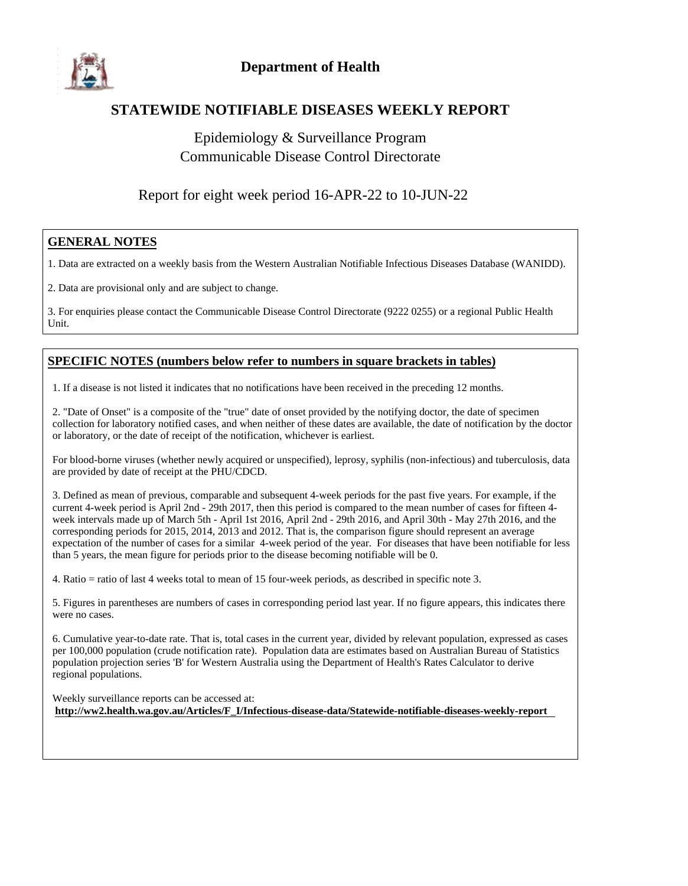

#### **STATEWIDE NOTIFIABLE DISEASES WEEKLY REPORT**

### Epidemiology & Surveillance Program Communicable Disease Control Directorate

#### Report for eight week period 16-APR-22 to 10-JUN-22

#### **GENERAL NOTES**

1. Data are extracted on a weekly basis from the Western Australian Notifiable Infectious Diseases Database (WANIDD).

2. Data are provisional only and are subject to change.

3. For enquiries please contact the Communicable Disease Control Directorate (9222 0255) or a regional Public Health Unit.

#### **SPECIFIC NOTES (numbers below refer to numbers in square brackets in tables)**

1. If a disease is not listed it indicates that no notifications have been received in the preceding 12 months.

2. "Date of Onset" is a composite of the "true" date of onset provided by the notifying doctor, the date of specimen collection for laboratory notified cases, and when neither of these dates are available, the date of notification by the doctor or laboratory, or the date of receipt of the notification, whichever is earliest.

For blood-borne viruses (whether newly acquired or unspecified), leprosy, syphilis (non-infectious) and tuberculosis, data are provided by date of receipt at the PHU/CDCD.

3. Defined as mean of previous, comparable and subsequent 4-week periods for the past five years. For example, if the current 4-week period is April 2nd - 29th 2017, then this period is compared to the mean number of cases for fifteen 4 week intervals made up of March 5th - April 1st 2016, April 2nd - 29th 2016, and April 30th - May 27th 2016, and the corresponding periods for 2015, 2014, 2013 and 2012. That is, the comparison figure should represent an average expectation of the number of cases for a similar 4-week period of the year. For diseases that have been notifiable for less than 5 years, the mean figure for periods prior to the disease becoming notifiable will be 0.

4. Ratio = ratio of last 4 weeks total to mean of 15 four-week periods, as described in specific note 3.

5. Figures in parentheses are numbers of cases in corresponding period last year. If no figure appears, this indicates there were no cases.

6. Cumulative year-to-date rate. That is, total cases in the current year, divided by relevant population, expressed as cases per 100,000 population (crude notification rate). Population data are estimates based on Australian Bureau of Statistics population projection series 'B' for Western Australia using the Department of Health's Rates Calculator to derive regional populations.

Weekly surveillance reports can be accessed at: **http://ww2.health.wa.gov.au/Articles/F\_I/Infectious-disease-data/Statewide-notifiable-diseases-weekly-report**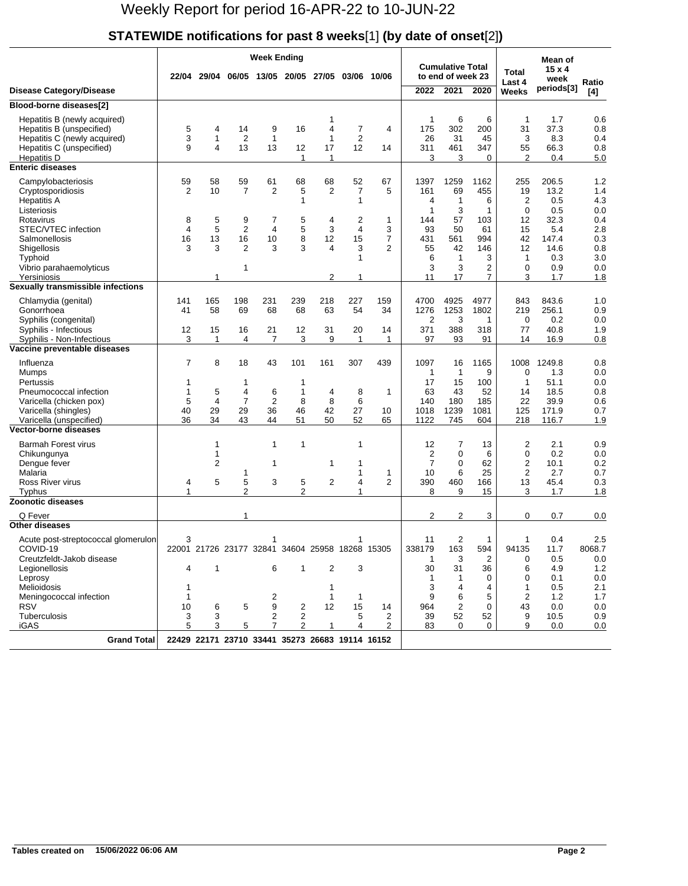#### **STATEWIDE notifications for past 8 weeks**[1] **(by date of onset**[2]**)**

| <b>Cumulative Total</b><br>$15 \times 4$<br>Total<br>22/04 29/04<br>06/05 13/05 20/05<br>27/05<br>10/06<br>to end of week 23<br>03/06<br>week<br>Ratio<br>Last 4<br>periods[3]<br>2022<br>2021<br><b>Disease Category/Disease</b><br>2020<br>Weeks<br>[4]<br>Blood-borne diseases[2]<br>6<br>6<br>1.7<br>0.6<br>Hepatitis B (newly acquired)<br>1<br>1<br>1<br>302<br>0.8<br>Hepatitis B (unspecified)<br>5<br>9<br>16<br>4<br>7<br>$\overline{4}$<br>175<br>200<br>31<br>37.3<br>4<br>14<br>3<br>$\mathbf{1}$<br>$\overline{2}$<br>$\overline{2}$<br>Hepatitis C (newly acquired)<br>$\overline{1}$<br>1<br>26<br>31<br>45<br>3<br>8.3<br>0.4<br>9<br>4<br>13<br>12<br>311<br>347<br>0.8<br>Hepatitis C (unspecified)<br>13<br>12<br>17<br>14<br>461<br>55<br>66.3<br>3<br>2<br>$\mathbf{1}$<br>1<br>3<br>$\Omega$<br>0.4<br>5.0<br>Hepatitis D<br><b>Enteric diseases</b><br>1.2<br>59<br>58<br>59<br>61<br>68<br>68<br>52<br>1397<br>1259<br>1162<br>255<br>206.5<br>Campylobacteriosis<br>67<br>$\overline{2}$<br>$\overline{7}$<br>2<br>10<br>2<br>5<br>7<br>5<br>161<br>69<br>455<br>19<br>13.2<br>1.4<br>Cryptosporidiosis<br><b>Hepatitis A</b><br>$\mathbf{1}$<br>$\mathbf{1}$<br>6<br>2<br>0.5<br>4.3<br>1<br>4<br>Listeriosis<br>1<br>3<br>1<br>$\Omega$<br>0.5<br>0.0<br>Rotavirus<br>8<br>5<br>9<br>7<br>5<br>4<br>2<br>1<br>57<br>103<br>12<br>32.3<br>0.4<br>144<br>5<br>$\overline{\mathbf{4}}$<br>$\overline{2}$<br>5<br>3<br>$\overline{4}$<br>2.8<br>STEC/VTEC infection<br>4<br>3<br>93<br>50<br>61<br>15<br>5.4<br>13<br>16<br>8<br>15<br>$\overline{7}$<br>0.3<br>Salmonellosis<br>16<br>10<br>12<br>431<br>561<br>994<br>42<br>147.4<br>3<br>$\overline{2}$<br>3<br>3<br>3<br>0.8<br>Shigellosis<br>3<br>4<br>2<br>55<br>42<br>146<br>12<br>14.6<br>3.0<br>$\mathbf{1}$<br>6<br>$\mathbf{1}$<br>3<br>$\mathbf{1}$<br>0.3<br>Typhoid<br>3<br>$\mathbf{1}$<br>3<br>2<br>0<br>0.9<br>0.0<br>Vibrio parahaemolyticus<br>2<br>$\overline{7}$<br>1.8<br>1<br>11<br>17<br>3<br>1.7<br>Yersiniosis<br>1<br>Sexually transmissible infections<br>Chlamydia (genital)<br>141<br>198<br>231<br>239<br>218<br>227<br>4700<br>4925<br>4977<br>843<br>843.6<br>1.0<br>165<br>159<br>58<br>68<br>68<br>1253<br>0.9<br>Gonorrhoea<br>41<br>69<br>63<br>54<br>34<br>1276<br>1802<br>219<br>256.1<br>2<br>3<br>0<br>0.2<br>0.0<br>Syphilis (congenital)<br>1<br>388<br>Syphilis - Infectious<br>12<br>15<br>16<br>21<br>12<br>31<br>20<br>371<br>318<br>77<br>40.8<br>1.9<br>14<br>3<br>3<br>97<br>1<br>4<br>7<br>9<br>$\mathbf{1}$<br>$\mathbf{1}$<br>93<br>91<br>14<br>16.9<br>0.8<br>Syphilis - Non-Infectious<br>Vaccine preventable diseases<br>8<br>7<br>18<br>43<br>101<br>161<br>307<br>439<br>1097<br>16<br>1165<br>1008<br>1249.8<br>0.8<br>Influenza<br>$\mathbf{1}$<br>$\mathbf{1}$<br>9<br>0<br>1.3<br>0.0<br>Mumps<br>Pertussis<br>17<br>15<br>100<br>1<br>51.1<br>0.0<br>1<br>1<br>-1<br>5<br>0.8<br>Pneumococcal infection<br>1<br>4<br>6<br>$\mathbf{1}$<br>4<br>8<br>$\mathbf{1}$<br>63<br>43<br>52<br>14<br>18.5<br>$\overline{4}$<br>$\overline{2}$<br>6<br>22<br>5<br>7<br>8<br>8<br>140<br>180<br>185<br>39.9<br>0.6<br>Varicella (chicken pox)<br>29<br>29<br>27<br>Varicella (shingles)<br>40<br>36<br>46<br>42<br>10<br>1018<br>1239<br>1081<br>125<br>171.9<br>0.7<br>36<br>34<br>43<br>Varicella (unspecified)<br>44<br>51<br>50<br>52<br>65<br>1122<br>745<br>604<br>218<br>116.7<br>1.9<br><b>Vector-borne diseases</b><br><b>Barmah Forest virus</b><br>1<br>$\mathbf{1}$<br>1<br>12<br>13<br>2<br>2.1<br>0.9<br>1<br>7<br>$\overline{2}$<br>0<br>1<br>0<br>6<br>0.2<br>0.0<br>Chikungunya<br>2<br>$\overline{2}$<br>7<br>0<br>62<br>10.1<br>0.2<br>Dengue fever<br>1<br>1<br>1<br>2<br>0.7<br>Malaria<br>10<br>6<br>25<br>2.7<br>1<br>$\mathbf{1}$<br>1<br>5<br>5<br>3<br>2<br>$\overline{2}$<br>390<br>460<br>Ross River virus<br>5<br>4<br>166<br>13<br>45.4<br>0.3<br>4<br>$\overline{2}$<br>1<br>2<br>$\mathbf{1}$<br>8<br>9<br>15<br>3<br>1.7<br>1.8<br>Typhus<br><b>Zoonotic diseases</b><br>2<br>Q Fever<br>2<br>0.7<br>0.0<br>1<br>3<br>0<br>Other diseases<br>$\overline{2}$<br>2.5<br>11<br>$\mathbf{1}$<br>0.4<br>Acute post-streptococcal glomerulon<br>3<br>1<br>163<br>COVID-19<br>22001 21726 23177 32841 34604 25958 18268 15305<br>338179<br>594<br>94135<br>11.7<br>8068.7<br>Creutzfeldt-Jakob disease<br>3<br>$\overline{2}$<br>0.5<br>0.0<br>-1<br>0<br>1<br>6<br>$\overline{2}$<br>3<br>30<br>31<br>36<br>4.9<br>1.2<br>Legionellosis<br>4<br>$\mathbf{1}$<br>6<br>0.1<br>0.0<br>Leprosy<br>$\mathbf{1}$<br>0<br>0<br>-1<br>Melioidosis<br>3<br>4<br>$\mathbf{1}$<br>0.5<br>2.1<br>4<br>1<br>1<br>1<br>2<br>$\mathbf{1}$<br>9<br>6<br>5<br>2<br>1.2<br>1.7<br>Meningococcal infection<br>$\mathbf{1}$<br>9<br>12<br><b>RSV</b><br>10<br>6<br>5<br>$\overline{c}$<br>15<br>964<br>2<br>0<br>43<br>0.0<br>0.0<br>14<br>52<br>52<br>Tuberculosis<br>3<br>3<br>2<br>$\overline{2}$<br>5<br>2<br>39<br>9<br>10.5<br>0.9<br><b>iGAS</b><br>5<br>3<br>5<br>7<br>$\overline{2}$<br>$\mathbf{1}$<br>4<br>2<br>83<br>$\Omega$<br>0<br>9<br>0.0<br>0.0<br><b>Grand Total</b><br>22429 22171 23710 33441 35273 26683 19114 16152 |  |  | <b>Week Ending</b> |  |  |  |  |  | Mean of |  |
|--------------------------------------------------------------------------------------------------------------------------------------------------------------------------------------------------------------------------------------------------------------------------------------------------------------------------------------------------------------------------------------------------------------------------------------------------------------------------------------------------------------------------------------------------------------------------------------------------------------------------------------------------------------------------------------------------------------------------------------------------------------------------------------------------------------------------------------------------------------------------------------------------------------------------------------------------------------------------------------------------------------------------------------------------------------------------------------------------------------------------------------------------------------------------------------------------------------------------------------------------------------------------------------------------------------------------------------------------------------------------------------------------------------------------------------------------------------------------------------------------------------------------------------------------------------------------------------------------------------------------------------------------------------------------------------------------------------------------------------------------------------------------------------------------------------------------------------------------------------------------------------------------------------------------------------------------------------------------------------------------------------------------------------------------------------------------------------------------------------------------------------------------------------------------------------------------------------------------------------------------------------------------------------------------------------------------------------------------------------------------------------------------------------------------------------------------------------------------------------------------------------------------------------------------------------------------------------------------------------------------------------------------------------------------------------------------------------------------------------------------------------------------------------------------------------------------------------------------------------------------------------------------------------------------------------------------------------------------------------------------------------------------------------------------------------------------------------------------------------------------------------------------------------------------------------------------------------------------------------------------------------------------------------------------------------------------------------------------------------------------------------------------------------------------------------------------------------------------------------------------------------------------------------------------------------------------------------------------------------------------------------------------------------------------------------------------------------------------------------------------------------------------------------------------------------------------------------------------------------------------------------------------------------------------------------------------------------------------------------------------------------------------------------------------------------------------------------------------------------------------------------------------------------------------------------------------------------------------------------------------------------------------------------------------------------------------------------------------------------------------------------------------------------------------------------------------------------------------------------------------------------------------------------------------------------------------------------------------------------------------------------------------------------------------------------------------------------------------------------------------------------------------------------------------------------------------------------------------------------------------------------------------------------------------------------------------------------------------------------------------------------------------------------------------------------------------------------------------------------------------------------------------------------------------------|--|--|--------------------|--|--|--|--|--|---------|--|
|                                                                                                                                                                                                                                                                                                                                                                                                                                                                                                                                                                                                                                                                                                                                                                                                                                                                                                                                                                                                                                                                                                                                                                                                                                                                                                                                                                                                                                                                                                                                                                                                                                                                                                                                                                                                                                                                                                                                                                                                                                                                                                                                                                                                                                                                                                                                                                                                                                                                                                                                                                                                                                                                                                                                                                                                                                                                                                                                                                                                                                                                                                                                                                                                                                                                                                                                                                                                                                                                                                                                                                                                                                                                                                                                                                                                                                                                                                                                                                                                                                                                                                                                                                                                                                                                                                                                                                                                                                                                                                                                                                                                                                                                                                                                                                                                                                                                                                                                                                                                                                                                                                                                                                                |  |  |                    |  |  |  |  |  |         |  |
|                                                                                                                                                                                                                                                                                                                                                                                                                                                                                                                                                                                                                                                                                                                                                                                                                                                                                                                                                                                                                                                                                                                                                                                                                                                                                                                                                                                                                                                                                                                                                                                                                                                                                                                                                                                                                                                                                                                                                                                                                                                                                                                                                                                                                                                                                                                                                                                                                                                                                                                                                                                                                                                                                                                                                                                                                                                                                                                                                                                                                                                                                                                                                                                                                                                                                                                                                                                                                                                                                                                                                                                                                                                                                                                                                                                                                                                                                                                                                                                                                                                                                                                                                                                                                                                                                                                                                                                                                                                                                                                                                                                                                                                                                                                                                                                                                                                                                                                                                                                                                                                                                                                                                                                |  |  |                    |  |  |  |  |  |         |  |
|                                                                                                                                                                                                                                                                                                                                                                                                                                                                                                                                                                                                                                                                                                                                                                                                                                                                                                                                                                                                                                                                                                                                                                                                                                                                                                                                                                                                                                                                                                                                                                                                                                                                                                                                                                                                                                                                                                                                                                                                                                                                                                                                                                                                                                                                                                                                                                                                                                                                                                                                                                                                                                                                                                                                                                                                                                                                                                                                                                                                                                                                                                                                                                                                                                                                                                                                                                                                                                                                                                                                                                                                                                                                                                                                                                                                                                                                                                                                                                                                                                                                                                                                                                                                                                                                                                                                                                                                                                                                                                                                                                                                                                                                                                                                                                                                                                                                                                                                                                                                                                                                                                                                                                                |  |  |                    |  |  |  |  |  |         |  |
|                                                                                                                                                                                                                                                                                                                                                                                                                                                                                                                                                                                                                                                                                                                                                                                                                                                                                                                                                                                                                                                                                                                                                                                                                                                                                                                                                                                                                                                                                                                                                                                                                                                                                                                                                                                                                                                                                                                                                                                                                                                                                                                                                                                                                                                                                                                                                                                                                                                                                                                                                                                                                                                                                                                                                                                                                                                                                                                                                                                                                                                                                                                                                                                                                                                                                                                                                                                                                                                                                                                                                                                                                                                                                                                                                                                                                                                                                                                                                                                                                                                                                                                                                                                                                                                                                                                                                                                                                                                                                                                                                                                                                                                                                                                                                                                                                                                                                                                                                                                                                                                                                                                                                                                |  |  |                    |  |  |  |  |  |         |  |
|                                                                                                                                                                                                                                                                                                                                                                                                                                                                                                                                                                                                                                                                                                                                                                                                                                                                                                                                                                                                                                                                                                                                                                                                                                                                                                                                                                                                                                                                                                                                                                                                                                                                                                                                                                                                                                                                                                                                                                                                                                                                                                                                                                                                                                                                                                                                                                                                                                                                                                                                                                                                                                                                                                                                                                                                                                                                                                                                                                                                                                                                                                                                                                                                                                                                                                                                                                                                                                                                                                                                                                                                                                                                                                                                                                                                                                                                                                                                                                                                                                                                                                                                                                                                                                                                                                                                                                                                                                                                                                                                                                                                                                                                                                                                                                                                                                                                                                                                                                                                                                                                                                                                                                                |  |  |                    |  |  |  |  |  |         |  |
|                                                                                                                                                                                                                                                                                                                                                                                                                                                                                                                                                                                                                                                                                                                                                                                                                                                                                                                                                                                                                                                                                                                                                                                                                                                                                                                                                                                                                                                                                                                                                                                                                                                                                                                                                                                                                                                                                                                                                                                                                                                                                                                                                                                                                                                                                                                                                                                                                                                                                                                                                                                                                                                                                                                                                                                                                                                                                                                                                                                                                                                                                                                                                                                                                                                                                                                                                                                                                                                                                                                                                                                                                                                                                                                                                                                                                                                                                                                                                                                                                                                                                                                                                                                                                                                                                                                                                                                                                                                                                                                                                                                                                                                                                                                                                                                                                                                                                                                                                                                                                                                                                                                                                                                |  |  |                    |  |  |  |  |  |         |  |
|                                                                                                                                                                                                                                                                                                                                                                                                                                                                                                                                                                                                                                                                                                                                                                                                                                                                                                                                                                                                                                                                                                                                                                                                                                                                                                                                                                                                                                                                                                                                                                                                                                                                                                                                                                                                                                                                                                                                                                                                                                                                                                                                                                                                                                                                                                                                                                                                                                                                                                                                                                                                                                                                                                                                                                                                                                                                                                                                                                                                                                                                                                                                                                                                                                                                                                                                                                                                                                                                                                                                                                                                                                                                                                                                                                                                                                                                                                                                                                                                                                                                                                                                                                                                                                                                                                                                                                                                                                                                                                                                                                                                                                                                                                                                                                                                                                                                                                                                                                                                                                                                                                                                                                                |  |  |                    |  |  |  |  |  |         |  |
|                                                                                                                                                                                                                                                                                                                                                                                                                                                                                                                                                                                                                                                                                                                                                                                                                                                                                                                                                                                                                                                                                                                                                                                                                                                                                                                                                                                                                                                                                                                                                                                                                                                                                                                                                                                                                                                                                                                                                                                                                                                                                                                                                                                                                                                                                                                                                                                                                                                                                                                                                                                                                                                                                                                                                                                                                                                                                                                                                                                                                                                                                                                                                                                                                                                                                                                                                                                                                                                                                                                                                                                                                                                                                                                                                                                                                                                                                                                                                                                                                                                                                                                                                                                                                                                                                                                                                                                                                                                                                                                                                                                                                                                                                                                                                                                                                                                                                                                                                                                                                                                                                                                                                                                |  |  |                    |  |  |  |  |  |         |  |
|                                                                                                                                                                                                                                                                                                                                                                                                                                                                                                                                                                                                                                                                                                                                                                                                                                                                                                                                                                                                                                                                                                                                                                                                                                                                                                                                                                                                                                                                                                                                                                                                                                                                                                                                                                                                                                                                                                                                                                                                                                                                                                                                                                                                                                                                                                                                                                                                                                                                                                                                                                                                                                                                                                                                                                                                                                                                                                                                                                                                                                                                                                                                                                                                                                                                                                                                                                                                                                                                                                                                                                                                                                                                                                                                                                                                                                                                                                                                                                                                                                                                                                                                                                                                                                                                                                                                                                                                                                                                                                                                                                                                                                                                                                                                                                                                                                                                                                                                                                                                                                                                                                                                                                                |  |  |                    |  |  |  |  |  |         |  |
|                                                                                                                                                                                                                                                                                                                                                                                                                                                                                                                                                                                                                                                                                                                                                                                                                                                                                                                                                                                                                                                                                                                                                                                                                                                                                                                                                                                                                                                                                                                                                                                                                                                                                                                                                                                                                                                                                                                                                                                                                                                                                                                                                                                                                                                                                                                                                                                                                                                                                                                                                                                                                                                                                                                                                                                                                                                                                                                                                                                                                                                                                                                                                                                                                                                                                                                                                                                                                                                                                                                                                                                                                                                                                                                                                                                                                                                                                                                                                                                                                                                                                                                                                                                                                                                                                                                                                                                                                                                                                                                                                                                                                                                                                                                                                                                                                                                                                                                                                                                                                                                                                                                                                                                |  |  |                    |  |  |  |  |  |         |  |
|                                                                                                                                                                                                                                                                                                                                                                                                                                                                                                                                                                                                                                                                                                                                                                                                                                                                                                                                                                                                                                                                                                                                                                                                                                                                                                                                                                                                                                                                                                                                                                                                                                                                                                                                                                                                                                                                                                                                                                                                                                                                                                                                                                                                                                                                                                                                                                                                                                                                                                                                                                                                                                                                                                                                                                                                                                                                                                                                                                                                                                                                                                                                                                                                                                                                                                                                                                                                                                                                                                                                                                                                                                                                                                                                                                                                                                                                                                                                                                                                                                                                                                                                                                                                                                                                                                                                                                                                                                                                                                                                                                                                                                                                                                                                                                                                                                                                                                                                                                                                                                                                                                                                                                                |  |  |                    |  |  |  |  |  |         |  |
|                                                                                                                                                                                                                                                                                                                                                                                                                                                                                                                                                                                                                                                                                                                                                                                                                                                                                                                                                                                                                                                                                                                                                                                                                                                                                                                                                                                                                                                                                                                                                                                                                                                                                                                                                                                                                                                                                                                                                                                                                                                                                                                                                                                                                                                                                                                                                                                                                                                                                                                                                                                                                                                                                                                                                                                                                                                                                                                                                                                                                                                                                                                                                                                                                                                                                                                                                                                                                                                                                                                                                                                                                                                                                                                                                                                                                                                                                                                                                                                                                                                                                                                                                                                                                                                                                                                                                                                                                                                                                                                                                                                                                                                                                                                                                                                                                                                                                                                                                                                                                                                                                                                                                                                |  |  |                    |  |  |  |  |  |         |  |
|                                                                                                                                                                                                                                                                                                                                                                                                                                                                                                                                                                                                                                                                                                                                                                                                                                                                                                                                                                                                                                                                                                                                                                                                                                                                                                                                                                                                                                                                                                                                                                                                                                                                                                                                                                                                                                                                                                                                                                                                                                                                                                                                                                                                                                                                                                                                                                                                                                                                                                                                                                                                                                                                                                                                                                                                                                                                                                                                                                                                                                                                                                                                                                                                                                                                                                                                                                                                                                                                                                                                                                                                                                                                                                                                                                                                                                                                                                                                                                                                                                                                                                                                                                                                                                                                                                                                                                                                                                                                                                                                                                                                                                                                                                                                                                                                                                                                                                                                                                                                                                                                                                                                                                                |  |  |                    |  |  |  |  |  |         |  |
|                                                                                                                                                                                                                                                                                                                                                                                                                                                                                                                                                                                                                                                                                                                                                                                                                                                                                                                                                                                                                                                                                                                                                                                                                                                                                                                                                                                                                                                                                                                                                                                                                                                                                                                                                                                                                                                                                                                                                                                                                                                                                                                                                                                                                                                                                                                                                                                                                                                                                                                                                                                                                                                                                                                                                                                                                                                                                                                                                                                                                                                                                                                                                                                                                                                                                                                                                                                                                                                                                                                                                                                                                                                                                                                                                                                                                                                                                                                                                                                                                                                                                                                                                                                                                                                                                                                                                                                                                                                                                                                                                                                                                                                                                                                                                                                                                                                                                                                                                                                                                                                                                                                                                                                |  |  |                    |  |  |  |  |  |         |  |
|                                                                                                                                                                                                                                                                                                                                                                                                                                                                                                                                                                                                                                                                                                                                                                                                                                                                                                                                                                                                                                                                                                                                                                                                                                                                                                                                                                                                                                                                                                                                                                                                                                                                                                                                                                                                                                                                                                                                                                                                                                                                                                                                                                                                                                                                                                                                                                                                                                                                                                                                                                                                                                                                                                                                                                                                                                                                                                                                                                                                                                                                                                                                                                                                                                                                                                                                                                                                                                                                                                                                                                                                                                                                                                                                                                                                                                                                                                                                                                                                                                                                                                                                                                                                                                                                                                                                                                                                                                                                                                                                                                                                                                                                                                                                                                                                                                                                                                                                                                                                                                                                                                                                                                                |  |  |                    |  |  |  |  |  |         |  |
|                                                                                                                                                                                                                                                                                                                                                                                                                                                                                                                                                                                                                                                                                                                                                                                                                                                                                                                                                                                                                                                                                                                                                                                                                                                                                                                                                                                                                                                                                                                                                                                                                                                                                                                                                                                                                                                                                                                                                                                                                                                                                                                                                                                                                                                                                                                                                                                                                                                                                                                                                                                                                                                                                                                                                                                                                                                                                                                                                                                                                                                                                                                                                                                                                                                                                                                                                                                                                                                                                                                                                                                                                                                                                                                                                                                                                                                                                                                                                                                                                                                                                                                                                                                                                                                                                                                                                                                                                                                                                                                                                                                                                                                                                                                                                                                                                                                                                                                                                                                                                                                                                                                                                                                |  |  |                    |  |  |  |  |  |         |  |
|                                                                                                                                                                                                                                                                                                                                                                                                                                                                                                                                                                                                                                                                                                                                                                                                                                                                                                                                                                                                                                                                                                                                                                                                                                                                                                                                                                                                                                                                                                                                                                                                                                                                                                                                                                                                                                                                                                                                                                                                                                                                                                                                                                                                                                                                                                                                                                                                                                                                                                                                                                                                                                                                                                                                                                                                                                                                                                                                                                                                                                                                                                                                                                                                                                                                                                                                                                                                                                                                                                                                                                                                                                                                                                                                                                                                                                                                                                                                                                                                                                                                                                                                                                                                                                                                                                                                                                                                                                                                                                                                                                                                                                                                                                                                                                                                                                                                                                                                                                                                                                                                                                                                                                                |  |  |                    |  |  |  |  |  |         |  |
|                                                                                                                                                                                                                                                                                                                                                                                                                                                                                                                                                                                                                                                                                                                                                                                                                                                                                                                                                                                                                                                                                                                                                                                                                                                                                                                                                                                                                                                                                                                                                                                                                                                                                                                                                                                                                                                                                                                                                                                                                                                                                                                                                                                                                                                                                                                                                                                                                                                                                                                                                                                                                                                                                                                                                                                                                                                                                                                                                                                                                                                                                                                                                                                                                                                                                                                                                                                                                                                                                                                                                                                                                                                                                                                                                                                                                                                                                                                                                                                                                                                                                                                                                                                                                                                                                                                                                                                                                                                                                                                                                                                                                                                                                                                                                                                                                                                                                                                                                                                                                                                                                                                                                                                |  |  |                    |  |  |  |  |  |         |  |
|                                                                                                                                                                                                                                                                                                                                                                                                                                                                                                                                                                                                                                                                                                                                                                                                                                                                                                                                                                                                                                                                                                                                                                                                                                                                                                                                                                                                                                                                                                                                                                                                                                                                                                                                                                                                                                                                                                                                                                                                                                                                                                                                                                                                                                                                                                                                                                                                                                                                                                                                                                                                                                                                                                                                                                                                                                                                                                                                                                                                                                                                                                                                                                                                                                                                                                                                                                                                                                                                                                                                                                                                                                                                                                                                                                                                                                                                                                                                                                                                                                                                                                                                                                                                                                                                                                                                                                                                                                                                                                                                                                                                                                                                                                                                                                                                                                                                                                                                                                                                                                                                                                                                                                                |  |  |                    |  |  |  |  |  |         |  |
|                                                                                                                                                                                                                                                                                                                                                                                                                                                                                                                                                                                                                                                                                                                                                                                                                                                                                                                                                                                                                                                                                                                                                                                                                                                                                                                                                                                                                                                                                                                                                                                                                                                                                                                                                                                                                                                                                                                                                                                                                                                                                                                                                                                                                                                                                                                                                                                                                                                                                                                                                                                                                                                                                                                                                                                                                                                                                                                                                                                                                                                                                                                                                                                                                                                                                                                                                                                                                                                                                                                                                                                                                                                                                                                                                                                                                                                                                                                                                                                                                                                                                                                                                                                                                                                                                                                                                                                                                                                                                                                                                                                                                                                                                                                                                                                                                                                                                                                                                                                                                                                                                                                                                                                |  |  |                    |  |  |  |  |  |         |  |
|                                                                                                                                                                                                                                                                                                                                                                                                                                                                                                                                                                                                                                                                                                                                                                                                                                                                                                                                                                                                                                                                                                                                                                                                                                                                                                                                                                                                                                                                                                                                                                                                                                                                                                                                                                                                                                                                                                                                                                                                                                                                                                                                                                                                                                                                                                                                                                                                                                                                                                                                                                                                                                                                                                                                                                                                                                                                                                                                                                                                                                                                                                                                                                                                                                                                                                                                                                                                                                                                                                                                                                                                                                                                                                                                                                                                                                                                                                                                                                                                                                                                                                                                                                                                                                                                                                                                                                                                                                                                                                                                                                                                                                                                                                                                                                                                                                                                                                                                                                                                                                                                                                                                                                                |  |  |                    |  |  |  |  |  |         |  |
|                                                                                                                                                                                                                                                                                                                                                                                                                                                                                                                                                                                                                                                                                                                                                                                                                                                                                                                                                                                                                                                                                                                                                                                                                                                                                                                                                                                                                                                                                                                                                                                                                                                                                                                                                                                                                                                                                                                                                                                                                                                                                                                                                                                                                                                                                                                                                                                                                                                                                                                                                                                                                                                                                                                                                                                                                                                                                                                                                                                                                                                                                                                                                                                                                                                                                                                                                                                                                                                                                                                                                                                                                                                                                                                                                                                                                                                                                                                                                                                                                                                                                                                                                                                                                                                                                                                                                                                                                                                                                                                                                                                                                                                                                                                                                                                                                                                                                                                                                                                                                                                                                                                                                                                |  |  |                    |  |  |  |  |  |         |  |
|                                                                                                                                                                                                                                                                                                                                                                                                                                                                                                                                                                                                                                                                                                                                                                                                                                                                                                                                                                                                                                                                                                                                                                                                                                                                                                                                                                                                                                                                                                                                                                                                                                                                                                                                                                                                                                                                                                                                                                                                                                                                                                                                                                                                                                                                                                                                                                                                                                                                                                                                                                                                                                                                                                                                                                                                                                                                                                                                                                                                                                                                                                                                                                                                                                                                                                                                                                                                                                                                                                                                                                                                                                                                                                                                                                                                                                                                                                                                                                                                                                                                                                                                                                                                                                                                                                                                                                                                                                                                                                                                                                                                                                                                                                                                                                                                                                                                                                                                                                                                                                                                                                                                                                                |  |  |                    |  |  |  |  |  |         |  |
|                                                                                                                                                                                                                                                                                                                                                                                                                                                                                                                                                                                                                                                                                                                                                                                                                                                                                                                                                                                                                                                                                                                                                                                                                                                                                                                                                                                                                                                                                                                                                                                                                                                                                                                                                                                                                                                                                                                                                                                                                                                                                                                                                                                                                                                                                                                                                                                                                                                                                                                                                                                                                                                                                                                                                                                                                                                                                                                                                                                                                                                                                                                                                                                                                                                                                                                                                                                                                                                                                                                                                                                                                                                                                                                                                                                                                                                                                                                                                                                                                                                                                                                                                                                                                                                                                                                                                                                                                                                                                                                                                                                                                                                                                                                                                                                                                                                                                                                                                                                                                                                                                                                                                                                |  |  |                    |  |  |  |  |  |         |  |
|                                                                                                                                                                                                                                                                                                                                                                                                                                                                                                                                                                                                                                                                                                                                                                                                                                                                                                                                                                                                                                                                                                                                                                                                                                                                                                                                                                                                                                                                                                                                                                                                                                                                                                                                                                                                                                                                                                                                                                                                                                                                                                                                                                                                                                                                                                                                                                                                                                                                                                                                                                                                                                                                                                                                                                                                                                                                                                                                                                                                                                                                                                                                                                                                                                                                                                                                                                                                                                                                                                                                                                                                                                                                                                                                                                                                                                                                                                                                                                                                                                                                                                                                                                                                                                                                                                                                                                                                                                                                                                                                                                                                                                                                                                                                                                                                                                                                                                                                                                                                                                                                                                                                                                                |  |  |                    |  |  |  |  |  |         |  |
|                                                                                                                                                                                                                                                                                                                                                                                                                                                                                                                                                                                                                                                                                                                                                                                                                                                                                                                                                                                                                                                                                                                                                                                                                                                                                                                                                                                                                                                                                                                                                                                                                                                                                                                                                                                                                                                                                                                                                                                                                                                                                                                                                                                                                                                                                                                                                                                                                                                                                                                                                                                                                                                                                                                                                                                                                                                                                                                                                                                                                                                                                                                                                                                                                                                                                                                                                                                                                                                                                                                                                                                                                                                                                                                                                                                                                                                                                                                                                                                                                                                                                                                                                                                                                                                                                                                                                                                                                                                                                                                                                                                                                                                                                                                                                                                                                                                                                                                                                                                                                                                                                                                                                                                |  |  |                    |  |  |  |  |  |         |  |
|                                                                                                                                                                                                                                                                                                                                                                                                                                                                                                                                                                                                                                                                                                                                                                                                                                                                                                                                                                                                                                                                                                                                                                                                                                                                                                                                                                                                                                                                                                                                                                                                                                                                                                                                                                                                                                                                                                                                                                                                                                                                                                                                                                                                                                                                                                                                                                                                                                                                                                                                                                                                                                                                                                                                                                                                                                                                                                                                                                                                                                                                                                                                                                                                                                                                                                                                                                                                                                                                                                                                                                                                                                                                                                                                                                                                                                                                                                                                                                                                                                                                                                                                                                                                                                                                                                                                                                                                                                                                                                                                                                                                                                                                                                                                                                                                                                                                                                                                                                                                                                                                                                                                                                                |  |  |                    |  |  |  |  |  |         |  |
|                                                                                                                                                                                                                                                                                                                                                                                                                                                                                                                                                                                                                                                                                                                                                                                                                                                                                                                                                                                                                                                                                                                                                                                                                                                                                                                                                                                                                                                                                                                                                                                                                                                                                                                                                                                                                                                                                                                                                                                                                                                                                                                                                                                                                                                                                                                                                                                                                                                                                                                                                                                                                                                                                                                                                                                                                                                                                                                                                                                                                                                                                                                                                                                                                                                                                                                                                                                                                                                                                                                                                                                                                                                                                                                                                                                                                                                                                                                                                                                                                                                                                                                                                                                                                                                                                                                                                                                                                                                                                                                                                                                                                                                                                                                                                                                                                                                                                                                                                                                                                                                                                                                                                                                |  |  |                    |  |  |  |  |  |         |  |
|                                                                                                                                                                                                                                                                                                                                                                                                                                                                                                                                                                                                                                                                                                                                                                                                                                                                                                                                                                                                                                                                                                                                                                                                                                                                                                                                                                                                                                                                                                                                                                                                                                                                                                                                                                                                                                                                                                                                                                                                                                                                                                                                                                                                                                                                                                                                                                                                                                                                                                                                                                                                                                                                                                                                                                                                                                                                                                                                                                                                                                                                                                                                                                                                                                                                                                                                                                                                                                                                                                                                                                                                                                                                                                                                                                                                                                                                                                                                                                                                                                                                                                                                                                                                                                                                                                                                                                                                                                                                                                                                                                                                                                                                                                                                                                                                                                                                                                                                                                                                                                                                                                                                                                                |  |  |                    |  |  |  |  |  |         |  |
|                                                                                                                                                                                                                                                                                                                                                                                                                                                                                                                                                                                                                                                                                                                                                                                                                                                                                                                                                                                                                                                                                                                                                                                                                                                                                                                                                                                                                                                                                                                                                                                                                                                                                                                                                                                                                                                                                                                                                                                                                                                                                                                                                                                                                                                                                                                                                                                                                                                                                                                                                                                                                                                                                                                                                                                                                                                                                                                                                                                                                                                                                                                                                                                                                                                                                                                                                                                                                                                                                                                                                                                                                                                                                                                                                                                                                                                                                                                                                                                                                                                                                                                                                                                                                                                                                                                                                                                                                                                                                                                                                                                                                                                                                                                                                                                                                                                                                                                                                                                                                                                                                                                                                                                |  |  |                    |  |  |  |  |  |         |  |
|                                                                                                                                                                                                                                                                                                                                                                                                                                                                                                                                                                                                                                                                                                                                                                                                                                                                                                                                                                                                                                                                                                                                                                                                                                                                                                                                                                                                                                                                                                                                                                                                                                                                                                                                                                                                                                                                                                                                                                                                                                                                                                                                                                                                                                                                                                                                                                                                                                                                                                                                                                                                                                                                                                                                                                                                                                                                                                                                                                                                                                                                                                                                                                                                                                                                                                                                                                                                                                                                                                                                                                                                                                                                                                                                                                                                                                                                                                                                                                                                                                                                                                                                                                                                                                                                                                                                                                                                                                                                                                                                                                                                                                                                                                                                                                                                                                                                                                                                                                                                                                                                                                                                                                                |  |  |                    |  |  |  |  |  |         |  |
|                                                                                                                                                                                                                                                                                                                                                                                                                                                                                                                                                                                                                                                                                                                                                                                                                                                                                                                                                                                                                                                                                                                                                                                                                                                                                                                                                                                                                                                                                                                                                                                                                                                                                                                                                                                                                                                                                                                                                                                                                                                                                                                                                                                                                                                                                                                                                                                                                                                                                                                                                                                                                                                                                                                                                                                                                                                                                                                                                                                                                                                                                                                                                                                                                                                                                                                                                                                                                                                                                                                                                                                                                                                                                                                                                                                                                                                                                                                                                                                                                                                                                                                                                                                                                                                                                                                                                                                                                                                                                                                                                                                                                                                                                                                                                                                                                                                                                                                                                                                                                                                                                                                                                                                |  |  |                    |  |  |  |  |  |         |  |
|                                                                                                                                                                                                                                                                                                                                                                                                                                                                                                                                                                                                                                                                                                                                                                                                                                                                                                                                                                                                                                                                                                                                                                                                                                                                                                                                                                                                                                                                                                                                                                                                                                                                                                                                                                                                                                                                                                                                                                                                                                                                                                                                                                                                                                                                                                                                                                                                                                                                                                                                                                                                                                                                                                                                                                                                                                                                                                                                                                                                                                                                                                                                                                                                                                                                                                                                                                                                                                                                                                                                                                                                                                                                                                                                                                                                                                                                                                                                                                                                                                                                                                                                                                                                                                                                                                                                                                                                                                                                                                                                                                                                                                                                                                                                                                                                                                                                                                                                                                                                                                                                                                                                                                                |  |  |                    |  |  |  |  |  |         |  |
|                                                                                                                                                                                                                                                                                                                                                                                                                                                                                                                                                                                                                                                                                                                                                                                                                                                                                                                                                                                                                                                                                                                                                                                                                                                                                                                                                                                                                                                                                                                                                                                                                                                                                                                                                                                                                                                                                                                                                                                                                                                                                                                                                                                                                                                                                                                                                                                                                                                                                                                                                                                                                                                                                                                                                                                                                                                                                                                                                                                                                                                                                                                                                                                                                                                                                                                                                                                                                                                                                                                                                                                                                                                                                                                                                                                                                                                                                                                                                                                                                                                                                                                                                                                                                                                                                                                                                                                                                                                                                                                                                                                                                                                                                                                                                                                                                                                                                                                                                                                                                                                                                                                                                                                |  |  |                    |  |  |  |  |  |         |  |
|                                                                                                                                                                                                                                                                                                                                                                                                                                                                                                                                                                                                                                                                                                                                                                                                                                                                                                                                                                                                                                                                                                                                                                                                                                                                                                                                                                                                                                                                                                                                                                                                                                                                                                                                                                                                                                                                                                                                                                                                                                                                                                                                                                                                                                                                                                                                                                                                                                                                                                                                                                                                                                                                                                                                                                                                                                                                                                                                                                                                                                                                                                                                                                                                                                                                                                                                                                                                                                                                                                                                                                                                                                                                                                                                                                                                                                                                                                                                                                                                                                                                                                                                                                                                                                                                                                                                                                                                                                                                                                                                                                                                                                                                                                                                                                                                                                                                                                                                                                                                                                                                                                                                                                                |  |  |                    |  |  |  |  |  |         |  |
|                                                                                                                                                                                                                                                                                                                                                                                                                                                                                                                                                                                                                                                                                                                                                                                                                                                                                                                                                                                                                                                                                                                                                                                                                                                                                                                                                                                                                                                                                                                                                                                                                                                                                                                                                                                                                                                                                                                                                                                                                                                                                                                                                                                                                                                                                                                                                                                                                                                                                                                                                                                                                                                                                                                                                                                                                                                                                                                                                                                                                                                                                                                                                                                                                                                                                                                                                                                                                                                                                                                                                                                                                                                                                                                                                                                                                                                                                                                                                                                                                                                                                                                                                                                                                                                                                                                                                                                                                                                                                                                                                                                                                                                                                                                                                                                                                                                                                                                                                                                                                                                                                                                                                                                |  |  |                    |  |  |  |  |  |         |  |
|                                                                                                                                                                                                                                                                                                                                                                                                                                                                                                                                                                                                                                                                                                                                                                                                                                                                                                                                                                                                                                                                                                                                                                                                                                                                                                                                                                                                                                                                                                                                                                                                                                                                                                                                                                                                                                                                                                                                                                                                                                                                                                                                                                                                                                                                                                                                                                                                                                                                                                                                                                                                                                                                                                                                                                                                                                                                                                                                                                                                                                                                                                                                                                                                                                                                                                                                                                                                                                                                                                                                                                                                                                                                                                                                                                                                                                                                                                                                                                                                                                                                                                                                                                                                                                                                                                                                                                                                                                                                                                                                                                                                                                                                                                                                                                                                                                                                                                                                                                                                                                                                                                                                                                                |  |  |                    |  |  |  |  |  |         |  |
|                                                                                                                                                                                                                                                                                                                                                                                                                                                                                                                                                                                                                                                                                                                                                                                                                                                                                                                                                                                                                                                                                                                                                                                                                                                                                                                                                                                                                                                                                                                                                                                                                                                                                                                                                                                                                                                                                                                                                                                                                                                                                                                                                                                                                                                                                                                                                                                                                                                                                                                                                                                                                                                                                                                                                                                                                                                                                                                                                                                                                                                                                                                                                                                                                                                                                                                                                                                                                                                                                                                                                                                                                                                                                                                                                                                                                                                                                                                                                                                                                                                                                                                                                                                                                                                                                                                                                                                                                                                                                                                                                                                                                                                                                                                                                                                                                                                                                                                                                                                                                                                                                                                                                                                |  |  |                    |  |  |  |  |  |         |  |
|                                                                                                                                                                                                                                                                                                                                                                                                                                                                                                                                                                                                                                                                                                                                                                                                                                                                                                                                                                                                                                                                                                                                                                                                                                                                                                                                                                                                                                                                                                                                                                                                                                                                                                                                                                                                                                                                                                                                                                                                                                                                                                                                                                                                                                                                                                                                                                                                                                                                                                                                                                                                                                                                                                                                                                                                                                                                                                                                                                                                                                                                                                                                                                                                                                                                                                                                                                                                                                                                                                                                                                                                                                                                                                                                                                                                                                                                                                                                                                                                                                                                                                                                                                                                                                                                                                                                                                                                                                                                                                                                                                                                                                                                                                                                                                                                                                                                                                                                                                                                                                                                                                                                                                                |  |  |                    |  |  |  |  |  |         |  |
|                                                                                                                                                                                                                                                                                                                                                                                                                                                                                                                                                                                                                                                                                                                                                                                                                                                                                                                                                                                                                                                                                                                                                                                                                                                                                                                                                                                                                                                                                                                                                                                                                                                                                                                                                                                                                                                                                                                                                                                                                                                                                                                                                                                                                                                                                                                                                                                                                                                                                                                                                                                                                                                                                                                                                                                                                                                                                                                                                                                                                                                                                                                                                                                                                                                                                                                                                                                                                                                                                                                                                                                                                                                                                                                                                                                                                                                                                                                                                                                                                                                                                                                                                                                                                                                                                                                                                                                                                                                                                                                                                                                                                                                                                                                                                                                                                                                                                                                                                                                                                                                                                                                                                                                |  |  |                    |  |  |  |  |  |         |  |
|                                                                                                                                                                                                                                                                                                                                                                                                                                                                                                                                                                                                                                                                                                                                                                                                                                                                                                                                                                                                                                                                                                                                                                                                                                                                                                                                                                                                                                                                                                                                                                                                                                                                                                                                                                                                                                                                                                                                                                                                                                                                                                                                                                                                                                                                                                                                                                                                                                                                                                                                                                                                                                                                                                                                                                                                                                                                                                                                                                                                                                                                                                                                                                                                                                                                                                                                                                                                                                                                                                                                                                                                                                                                                                                                                                                                                                                                                                                                                                                                                                                                                                                                                                                                                                                                                                                                                                                                                                                                                                                                                                                                                                                                                                                                                                                                                                                                                                                                                                                                                                                                                                                                                                                |  |  |                    |  |  |  |  |  |         |  |
|                                                                                                                                                                                                                                                                                                                                                                                                                                                                                                                                                                                                                                                                                                                                                                                                                                                                                                                                                                                                                                                                                                                                                                                                                                                                                                                                                                                                                                                                                                                                                                                                                                                                                                                                                                                                                                                                                                                                                                                                                                                                                                                                                                                                                                                                                                                                                                                                                                                                                                                                                                                                                                                                                                                                                                                                                                                                                                                                                                                                                                                                                                                                                                                                                                                                                                                                                                                                                                                                                                                                                                                                                                                                                                                                                                                                                                                                                                                                                                                                                                                                                                                                                                                                                                                                                                                                                                                                                                                                                                                                                                                                                                                                                                                                                                                                                                                                                                                                                                                                                                                                                                                                                                                |  |  |                    |  |  |  |  |  |         |  |
|                                                                                                                                                                                                                                                                                                                                                                                                                                                                                                                                                                                                                                                                                                                                                                                                                                                                                                                                                                                                                                                                                                                                                                                                                                                                                                                                                                                                                                                                                                                                                                                                                                                                                                                                                                                                                                                                                                                                                                                                                                                                                                                                                                                                                                                                                                                                                                                                                                                                                                                                                                                                                                                                                                                                                                                                                                                                                                                                                                                                                                                                                                                                                                                                                                                                                                                                                                                                                                                                                                                                                                                                                                                                                                                                                                                                                                                                                                                                                                                                                                                                                                                                                                                                                                                                                                                                                                                                                                                                                                                                                                                                                                                                                                                                                                                                                                                                                                                                                                                                                                                                                                                                                                                |  |  |                    |  |  |  |  |  |         |  |
|                                                                                                                                                                                                                                                                                                                                                                                                                                                                                                                                                                                                                                                                                                                                                                                                                                                                                                                                                                                                                                                                                                                                                                                                                                                                                                                                                                                                                                                                                                                                                                                                                                                                                                                                                                                                                                                                                                                                                                                                                                                                                                                                                                                                                                                                                                                                                                                                                                                                                                                                                                                                                                                                                                                                                                                                                                                                                                                                                                                                                                                                                                                                                                                                                                                                                                                                                                                                                                                                                                                                                                                                                                                                                                                                                                                                                                                                                                                                                                                                                                                                                                                                                                                                                                                                                                                                                                                                                                                                                                                                                                                                                                                                                                                                                                                                                                                                                                                                                                                                                                                                                                                                                                                |  |  |                    |  |  |  |  |  |         |  |
|                                                                                                                                                                                                                                                                                                                                                                                                                                                                                                                                                                                                                                                                                                                                                                                                                                                                                                                                                                                                                                                                                                                                                                                                                                                                                                                                                                                                                                                                                                                                                                                                                                                                                                                                                                                                                                                                                                                                                                                                                                                                                                                                                                                                                                                                                                                                                                                                                                                                                                                                                                                                                                                                                                                                                                                                                                                                                                                                                                                                                                                                                                                                                                                                                                                                                                                                                                                                                                                                                                                                                                                                                                                                                                                                                                                                                                                                                                                                                                                                                                                                                                                                                                                                                                                                                                                                                                                                                                                                                                                                                                                                                                                                                                                                                                                                                                                                                                                                                                                                                                                                                                                                                                                |  |  |                    |  |  |  |  |  |         |  |
|                                                                                                                                                                                                                                                                                                                                                                                                                                                                                                                                                                                                                                                                                                                                                                                                                                                                                                                                                                                                                                                                                                                                                                                                                                                                                                                                                                                                                                                                                                                                                                                                                                                                                                                                                                                                                                                                                                                                                                                                                                                                                                                                                                                                                                                                                                                                                                                                                                                                                                                                                                                                                                                                                                                                                                                                                                                                                                                                                                                                                                                                                                                                                                                                                                                                                                                                                                                                                                                                                                                                                                                                                                                                                                                                                                                                                                                                                                                                                                                                                                                                                                                                                                                                                                                                                                                                                                                                                                                                                                                                                                                                                                                                                                                                                                                                                                                                                                                                                                                                                                                                                                                                                                                |  |  |                    |  |  |  |  |  |         |  |
|                                                                                                                                                                                                                                                                                                                                                                                                                                                                                                                                                                                                                                                                                                                                                                                                                                                                                                                                                                                                                                                                                                                                                                                                                                                                                                                                                                                                                                                                                                                                                                                                                                                                                                                                                                                                                                                                                                                                                                                                                                                                                                                                                                                                                                                                                                                                                                                                                                                                                                                                                                                                                                                                                                                                                                                                                                                                                                                                                                                                                                                                                                                                                                                                                                                                                                                                                                                                                                                                                                                                                                                                                                                                                                                                                                                                                                                                                                                                                                                                                                                                                                                                                                                                                                                                                                                                                                                                                                                                                                                                                                                                                                                                                                                                                                                                                                                                                                                                                                                                                                                                                                                                                                                |  |  |                    |  |  |  |  |  |         |  |
|                                                                                                                                                                                                                                                                                                                                                                                                                                                                                                                                                                                                                                                                                                                                                                                                                                                                                                                                                                                                                                                                                                                                                                                                                                                                                                                                                                                                                                                                                                                                                                                                                                                                                                                                                                                                                                                                                                                                                                                                                                                                                                                                                                                                                                                                                                                                                                                                                                                                                                                                                                                                                                                                                                                                                                                                                                                                                                                                                                                                                                                                                                                                                                                                                                                                                                                                                                                                                                                                                                                                                                                                                                                                                                                                                                                                                                                                                                                                                                                                                                                                                                                                                                                                                                                                                                                                                                                                                                                                                                                                                                                                                                                                                                                                                                                                                                                                                                                                                                                                                                                                                                                                                                                |  |  |                    |  |  |  |  |  |         |  |
|                                                                                                                                                                                                                                                                                                                                                                                                                                                                                                                                                                                                                                                                                                                                                                                                                                                                                                                                                                                                                                                                                                                                                                                                                                                                                                                                                                                                                                                                                                                                                                                                                                                                                                                                                                                                                                                                                                                                                                                                                                                                                                                                                                                                                                                                                                                                                                                                                                                                                                                                                                                                                                                                                                                                                                                                                                                                                                                                                                                                                                                                                                                                                                                                                                                                                                                                                                                                                                                                                                                                                                                                                                                                                                                                                                                                                                                                                                                                                                                                                                                                                                                                                                                                                                                                                                                                                                                                                                                                                                                                                                                                                                                                                                                                                                                                                                                                                                                                                                                                                                                                                                                                                                                |  |  |                    |  |  |  |  |  |         |  |
|                                                                                                                                                                                                                                                                                                                                                                                                                                                                                                                                                                                                                                                                                                                                                                                                                                                                                                                                                                                                                                                                                                                                                                                                                                                                                                                                                                                                                                                                                                                                                                                                                                                                                                                                                                                                                                                                                                                                                                                                                                                                                                                                                                                                                                                                                                                                                                                                                                                                                                                                                                                                                                                                                                                                                                                                                                                                                                                                                                                                                                                                                                                                                                                                                                                                                                                                                                                                                                                                                                                                                                                                                                                                                                                                                                                                                                                                                                                                                                                                                                                                                                                                                                                                                                                                                                                                                                                                                                                                                                                                                                                                                                                                                                                                                                                                                                                                                                                                                                                                                                                                                                                                                                                |  |  |                    |  |  |  |  |  |         |  |
|                                                                                                                                                                                                                                                                                                                                                                                                                                                                                                                                                                                                                                                                                                                                                                                                                                                                                                                                                                                                                                                                                                                                                                                                                                                                                                                                                                                                                                                                                                                                                                                                                                                                                                                                                                                                                                                                                                                                                                                                                                                                                                                                                                                                                                                                                                                                                                                                                                                                                                                                                                                                                                                                                                                                                                                                                                                                                                                                                                                                                                                                                                                                                                                                                                                                                                                                                                                                                                                                                                                                                                                                                                                                                                                                                                                                                                                                                                                                                                                                                                                                                                                                                                                                                                                                                                                                                                                                                                                                                                                                                                                                                                                                                                                                                                                                                                                                                                                                                                                                                                                                                                                                                                                |  |  |                    |  |  |  |  |  |         |  |
|                                                                                                                                                                                                                                                                                                                                                                                                                                                                                                                                                                                                                                                                                                                                                                                                                                                                                                                                                                                                                                                                                                                                                                                                                                                                                                                                                                                                                                                                                                                                                                                                                                                                                                                                                                                                                                                                                                                                                                                                                                                                                                                                                                                                                                                                                                                                                                                                                                                                                                                                                                                                                                                                                                                                                                                                                                                                                                                                                                                                                                                                                                                                                                                                                                                                                                                                                                                                                                                                                                                                                                                                                                                                                                                                                                                                                                                                                                                                                                                                                                                                                                                                                                                                                                                                                                                                                                                                                                                                                                                                                                                                                                                                                                                                                                                                                                                                                                                                                                                                                                                                                                                                                                                |  |  |                    |  |  |  |  |  |         |  |
|                                                                                                                                                                                                                                                                                                                                                                                                                                                                                                                                                                                                                                                                                                                                                                                                                                                                                                                                                                                                                                                                                                                                                                                                                                                                                                                                                                                                                                                                                                                                                                                                                                                                                                                                                                                                                                                                                                                                                                                                                                                                                                                                                                                                                                                                                                                                                                                                                                                                                                                                                                                                                                                                                                                                                                                                                                                                                                                                                                                                                                                                                                                                                                                                                                                                                                                                                                                                                                                                                                                                                                                                                                                                                                                                                                                                                                                                                                                                                                                                                                                                                                                                                                                                                                                                                                                                                                                                                                                                                                                                                                                                                                                                                                                                                                                                                                                                                                                                                                                                                                                                                                                                                                                |  |  |                    |  |  |  |  |  |         |  |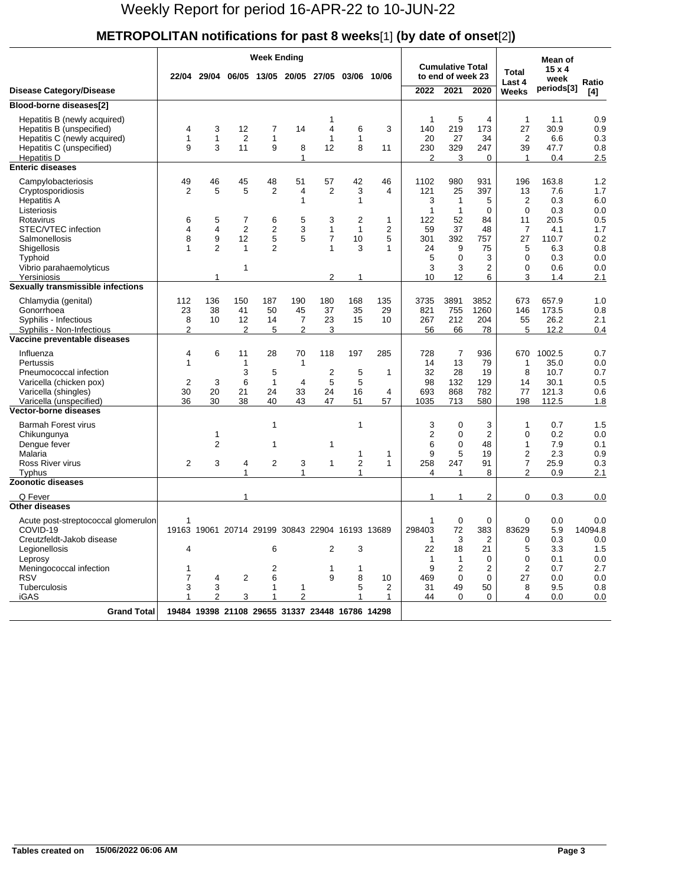#### **METROPOLITAN notifications for past 8 weeks**[1] **(by date of onset**[2]**)**

|                                                                                                                                                                  |                                    |                               |                                           | <b>Week Ending</b>                                   |                                               |                                        |                                |                          |                                                    |                                                 |                                             |                                                            | Mean of                                          |                                        |
|------------------------------------------------------------------------------------------------------------------------------------------------------------------|------------------------------------|-------------------------------|-------------------------------------------|------------------------------------------------------|-----------------------------------------------|----------------------------------------|--------------------------------|--------------------------|----------------------------------------------------|-------------------------------------------------|---------------------------------------------|------------------------------------------------------------|--------------------------------------------------|----------------------------------------|
|                                                                                                                                                                  |                                    | 22/04 29/04                   |                                           | 06/05 13/05 20/05 27/05                              |                                               |                                        | 03/06                          | 10/06                    |                                                    | <b>Cumulative Total</b><br>to end of week 23    |                                             | <b>Total</b><br>Last 4                                     | $15 \times 4$<br>week                            | Ratio                                  |
| <b>Disease Category/Disease</b>                                                                                                                                  |                                    |                               |                                           |                                                      |                                               |                                        |                                |                          | 2022                                               | 2021                                            | 2020                                        | Weeks                                                      | periods[3]                                       | [4]                                    |
| Blood-borne diseases[2]                                                                                                                                          |                                    |                               |                                           |                                                      |                                               |                                        |                                |                          |                                                    |                                                 |                                             |                                                            |                                                  |                                        |
| Hepatitis B (newly acquired)<br>Hepatitis B (unspecified)<br>Hepatitis C (newly acquired)<br>Hepatitis C (unspecified)<br>Hepatitis D<br><b>Enteric diseases</b> | 4<br>$\mathbf{1}$<br>9             | 3<br>$\mathbf{1}$<br>3        | 12<br>$\overline{2}$<br>11                | 7<br>1<br>9                                          | 14<br>8<br>1                                  | 1<br>4<br>1<br>12                      | 6<br>1<br>8                    | 3<br>11                  | $\mathbf{1}$<br>140<br>20<br>230<br>$\overline{2}$ | 5<br>219<br>27<br>329<br>3                      | 4<br>173<br>34<br>247<br>$\Omega$           | $\mathbf{1}$<br>27<br>$\overline{2}$<br>39<br>$\mathbf{1}$ | 1.1<br>30.9<br>6.6<br>47.7<br>0.4                | 0.9<br>0.9<br>0.3<br>0.8<br>2.5        |
|                                                                                                                                                                  |                                    |                               |                                           |                                                      |                                               |                                        |                                |                          |                                                    |                                                 |                                             |                                                            |                                                  |                                        |
| Campylobacteriosis<br>Cryptosporidiosis<br><b>Hepatitis A</b><br>Listeriosis<br>Rotavirus                                                                        | 49<br>2<br>6                       | 46<br>5<br>5                  | 45<br>5<br>7                              | 48<br>$\overline{2}$<br>6                            | 51<br>4<br>$\mathbf{1}$<br>5                  | 57<br>2<br>3                           | 42<br>3<br>1<br>$\overline{2}$ | 46<br>4<br>$\mathbf{1}$  | 1102<br>121<br>3<br>$\mathbf{1}$<br>122            | 980<br>25<br>$\mathbf{1}$<br>$\mathbf{1}$<br>52 | 931<br>397<br>5<br>$\mathbf 0$<br>84        | 196<br>13<br>$\overline{2}$<br>$\Omega$<br>11              | 163.8<br>7.6<br>0.3<br>0.3<br>20.5               | 1.2<br>1.7<br>6.0<br>0.0<br>0.5        |
| STEC/VTEC infection<br>Salmonellosis<br>Shigellosis<br>Typhoid<br>Vibrio parahaemolyticus<br>Yersiniosis                                                         | 4<br>8<br>$\mathbf{1}$             | 4<br>9<br>$\overline{2}$<br>1 | $\overline{2}$<br>12<br>$\mathbf{1}$<br>1 | 2<br>5<br>$\overline{2}$                             | 3<br>5                                        | 1<br>$\overline{7}$<br>1<br>2          | 1<br>10<br>3                   | $\overline{2}$<br>5<br>1 | 59<br>301<br>24<br>5<br>3<br>10                    | 37<br>392<br>9<br>$\Omega$<br>3<br>12           | 48<br>757<br>75<br>3<br>$\overline{2}$<br>6 | 7<br>27<br>5<br>0<br>0<br>3                                | 4.1<br>110.7<br>6.3<br>0.3<br>0.6<br>1.4         | 1.7<br>0.2<br>0.8<br>0.0<br>0.0<br>2.1 |
| Sexually transmissible infections                                                                                                                                |                                    |                               |                                           |                                                      |                                               |                                        |                                |                          |                                                    |                                                 |                                             |                                                            |                                                  |                                        |
| Chlamydia (genital)<br>Gonorrhoea<br>Syphilis - Infectious<br>Syphilis - Non-Infectious                                                                          | 112<br>23<br>8<br>$\overline{2}$   | 136<br>38<br>10               | 150<br>41<br>12<br>$\overline{2}$         | 187<br>50<br>14<br>5                                 | 190<br>45<br>$\overline{7}$<br>$\overline{2}$ | 180<br>37<br>23<br>3                   | 168<br>35<br>15                | 135<br>29<br>10          | 3735<br>821<br>267<br>56                           | 3891<br>755<br>212<br>66                        | 3852<br>1260<br>204<br>78                   | 673<br>146<br>55<br>5                                      | 657.9<br>173.5<br>26.2<br>12.2                   | 1.0<br>0.8<br>2.1<br>0.4               |
| Vaccine preventable diseases                                                                                                                                     |                                    |                               |                                           |                                                      |                                               |                                        |                                |                          |                                                    |                                                 |                                             |                                                            |                                                  |                                        |
| Influenza<br>Pertussis<br>Pneumococcal infection<br>Varicella (chicken pox)<br>Varicella (shingles)<br>Varicella (unspecified)                                   | 4<br>$\mathbf{1}$<br>2<br>30<br>36 | 6<br>3<br>20<br>30            | 11<br>1<br>3<br>6<br>21<br>38             | 28<br>5<br>$\mathbf{1}$<br>24<br>40                  | 70<br>$\mathbf{1}$<br>4<br>33<br>43           | 118<br>$\overline{2}$<br>5<br>24<br>47 | 197<br>5<br>5<br>16<br>51      | 285<br>1<br>4<br>57      | 728<br>14<br>32<br>98<br>693<br>1035               | $\overline{7}$<br>13<br>28<br>132<br>868<br>713 | 936<br>79<br>19<br>129<br>782<br>580        | 670<br>1<br>8<br>14<br>77<br>198                           | 1002.5<br>35.0<br>10.7<br>30.1<br>121.3<br>112.5 | 0.7<br>0.0<br>0.7<br>0.5<br>0.6<br>1.8 |
| <b>Vector-borne diseases</b>                                                                                                                                     |                                    |                               |                                           |                                                      |                                               |                                        |                                |                          |                                                    |                                                 |                                             |                                                            |                                                  |                                        |
| <b>Barmah Forest virus</b><br>Chikungunya<br>Dengue fever<br>Malaria<br>Ross River virus<br>Typhus                                                               | 2                                  | 1<br>2<br>3                   | 4<br>1                                    | 1<br>1<br>$\overline{2}$                             | 3<br>1                                        | 1<br>1                                 | 1<br>1<br>2<br>1               | 1<br>$\mathbf{1}$        | 3<br>$\overline{2}$<br>6<br>9<br>258<br>4          | 0<br>0<br>0<br>5<br>247<br>1                    | 3<br>$\overline{2}$<br>48<br>19<br>91<br>8  | 1<br>0<br>1<br>2<br>7<br>2                                 | 0.7<br>0.2<br>7.9<br>2.3<br>25.9<br>0.9          | 1.5<br>0.0<br>0.1<br>0.9<br>0.3<br>2.1 |
| <b>Zoonotic diseases</b>                                                                                                                                         |                                    |                               |                                           |                                                      |                                               |                                        |                                |                          |                                                    |                                                 |                                             |                                                            |                                                  |                                        |
| Q Fever                                                                                                                                                          |                                    |                               | 1                                         |                                                      |                                               |                                        |                                |                          | 1                                                  | 1                                               | 2                                           | 0                                                          | 0.3                                              | 0.0                                    |
| <b>Other diseases</b><br>Acute post-streptococcal glomerulon<br>COVID-19<br>Creutzfeldt-Jakob disease<br>Legionellosis<br>Leprosy                                | 1<br>4                             |                               |                                           | 19163 19061 20714 29199 30843 22904 16193 13689<br>6 |                                               | 2                                      | 3                              |                          | $\mathbf{1}$<br>298403<br>-1<br>22<br>$\mathbf{1}$ | $\mathbf 0$<br>72<br>3<br>18<br>$\mathbf{1}$    | 0<br>383<br>2<br>21<br>0                    | 0<br>83629<br>0<br>5<br>0                                  | 0.0<br>5.9<br>0.3<br>3.3<br>0.1                  | 0.0<br>14094.8<br>0.0<br>1.5<br>0.0    |
| Meningococcal infection<br><b>RSV</b><br>Tuberculosis<br><b>iGAS</b>                                                                                             | 1<br>7<br>3<br>1                   | 4<br>3<br>$\overline{2}$      | $\overline{2}$<br>3                       | 2<br>6<br>1<br>1                                     | 1<br>$\overline{2}$                           | 1<br>9                                 | 1<br>8<br>5<br>1               | 10<br>2<br>1             | 9<br>469<br>31<br>44                               | $\overline{2}$<br>0<br>49<br>$\Omega$           | 2<br>0<br>50<br>0                           | $\overline{2}$<br>27<br>8<br>4                             | 0.7<br>0.0<br>9.5<br>0.0                         | 2.7<br>0.0<br>0.8<br>0.0               |
| Grand Total                                                                                                                                                      |                                    |                               |                                           | 19484 19398 21108 29655 31337 23448 16786 14298      |                                               |                                        |                                |                          |                                                    |                                                 |                                             |                                                            |                                                  |                                        |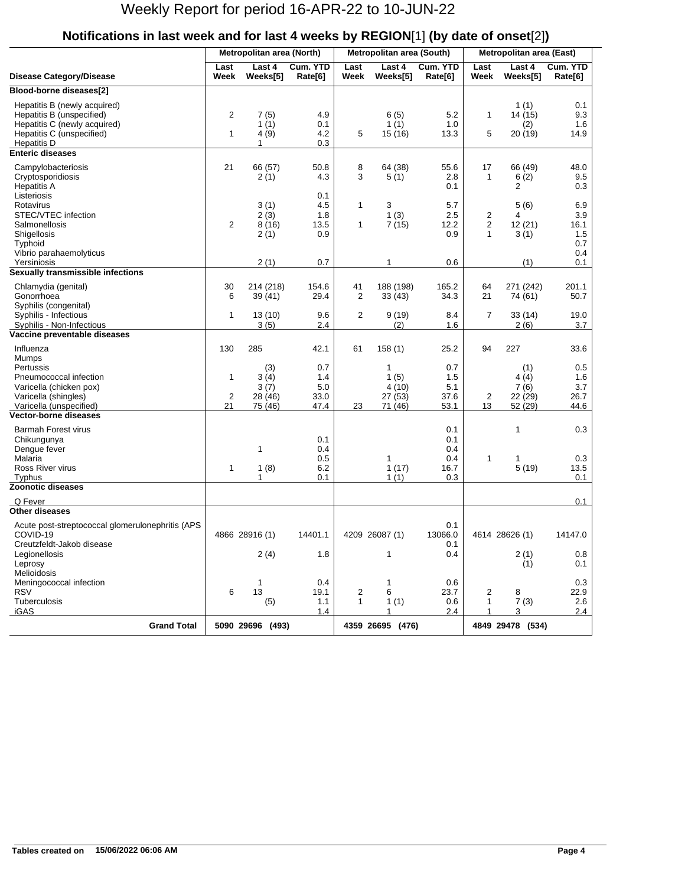|                                                                                                                                       |                                      | Metropolitan area (North)      |                           |                   | Metropolitan area (South)     |                           | <b>Metropolitan area (East)</b>     |                                   |                                   |  |
|---------------------------------------------------------------------------------------------------------------------------------------|--------------------------------------|--------------------------------|---------------------------|-------------------|-------------------------------|---------------------------|-------------------------------------|-----------------------------------|-----------------------------------|--|
| <b>Disease Category/Disease</b>                                                                                                       | Last<br>Week                         | Last 4<br>Weeks[5]             | Cum. YTD<br>Rate[6]       | Last<br>Week      | Last 4<br>Weeks[5]            | Cum. YTD<br>Rate[6]       | Last<br>Week                        | Last 4<br>Weeks[5]                | Cum. YTD<br>Rate[6]               |  |
| Blood-borne diseases[2]                                                                                                               |                                      |                                |                           |                   |                               |                           |                                     |                                   |                                   |  |
| Hepatitis B (newly acquired)<br>Hepatitis B (unspecified)<br>Hepatitis C (newly acquired)<br>Hepatitis C (unspecified)<br>Hepatitis D | $\overline{c}$<br>$\mathbf{1}$       | 7(5)<br>1(1)<br>4(9)<br>1      | 4.9<br>0.1<br>4.2<br>0.3  | 5                 | 6(5)<br>1(1)<br>15 (16)       | 5.2<br>1.0<br>13.3        | $\mathbf{1}$<br>5                   | 1(1)<br>14 (15)<br>(2)<br>20 (19) | 0.1<br>9.3<br>1.6<br>14.9         |  |
| <b>Enteric diseases</b>                                                                                                               |                                      |                                |                           |                   |                               |                           |                                     |                                   |                                   |  |
| Campylobacteriosis<br>Cryptosporidiosis<br><b>Hepatitis A</b><br>Listeriosis                                                          | 21                                   | 66 (57)<br>2(1)                | 50.8<br>4.3<br>0.1        | 8<br>3            | 64 (38)<br>5(1)               | 55.6<br>2.8<br>0.1        | 17<br>$\mathbf{1}$                  | 66 (49)<br>6(2)<br>2              | 48.0<br>9.5<br>0.3                |  |
| Rotavirus<br>STEC/VTEC infection<br>Salmonellosis<br>Shigellosis<br>Typhoid                                                           | $\overline{2}$                       | 3(1)<br>2(3)<br>8(16)<br>2(1)  | 4.5<br>1.8<br>13.5<br>0.9 | $\mathbf{1}$<br>1 | 3<br>1(3)<br>7(15)            | 5.7<br>2.5<br>12.2<br>0.9 | 2<br>$\overline{2}$<br>$\mathbf{1}$ | 5(6)<br>4<br>12(21)<br>3(1)       | 6.9<br>3.9<br>16.1<br>1.5<br>0.7  |  |
| Vibrio parahaemolyticus<br>Yersiniosis                                                                                                |                                      | 2(1)                           | 0.7                       |                   | 1                             | 0.6                       |                                     | (1)                               | 0.4<br>0.1                        |  |
| Sexually transmissible infections                                                                                                     |                                      |                                |                           |                   |                               |                           |                                     |                                   |                                   |  |
| Chlamydia (genital)<br>Gonorrhoea<br>Syphilis (congenital)                                                                            | 30<br>6                              | 214 (218)<br>39 (41)           | 154.6<br>29.4             | 41<br>2           | 188 (198)<br>33(43)           | 165.2<br>34.3             | 64<br>21                            | 271 (242)<br>74 (61)              | 201.1<br>50.7                     |  |
| Syphilis - Infectious<br>Syphilis - Non-Infectious<br>Vaccine preventable diseases                                                    | $\mathbf{1}$                         | 13(10)<br>3(5)                 | 9.6<br>2.4                | 2                 | 9(19)<br>(2)                  | 8.4<br>1.6                | 7                                   | 33(14)<br>2(6)                    | 19.0<br>3.7                       |  |
| Influenza<br>Mumps                                                                                                                    | 130                                  | 285                            | 42.1                      | 61                | 158(1)                        | 25.2                      | 94                                  | 227                               | 33.6                              |  |
| Pertussis<br>Pneumococcal infection<br>Varicella (chicken pox)<br>Varicella (shingles)                                                | $\mathbf{1}$<br>$\overline{2}$<br>21 | (3)<br>3(4)<br>3(7)<br>28 (46) | 0.7<br>1.4<br>5.0<br>33.0 |                   | 1<br>1(5)<br>4(10)<br>27 (53) | 0.7<br>1.5<br>5.1<br>37.6 | 2                                   | (1)<br>4(4)<br>7(6)<br>22 (29)    | 0.5<br>1.6<br>3.7<br>26.7<br>44.6 |  |
| Varicella (unspecified)<br><b>Vector-borne diseases</b>                                                                               |                                      | 75 (46)                        | 47.4                      | 23                | 71 (46)                       | 53.1                      | 13                                  | 52 (29)                           |                                   |  |
| <b>Barmah Forest virus</b><br>Chikungunya<br>Dengue fever                                                                             |                                      | 1                              | 0.1<br>0.4                |                   |                               | 0.1<br>0.1<br>0.4         |                                     | 1                                 | 0.3                               |  |
| Malaria<br>Ross River virus<br>Typhus                                                                                                 | $\mathbf{1}$                         | 1(8)<br>1                      | 0.5<br>6.2<br>0.1         |                   | 1<br>1(17)<br>1(1)            | 0.4<br>16.7<br>0.3        | $\mathbf{1}$                        | 1<br>5(19)                        | 0.3<br>13.5<br>0.1                |  |
| <b>Zoonotic diseases</b>                                                                                                              |                                      |                                |                           |                   |                               |                           |                                     |                                   |                                   |  |
| Q Fever<br><b>Other diseases</b>                                                                                                      |                                      |                                |                           |                   |                               |                           |                                     |                                   | 0.1                               |  |
| Acute post-streptococcal glomerulonephritis (APS<br>COVID-19<br>Creutzfeldt-Jakob disease                                             |                                      | 4866 28916 (1)                 | 14401.1                   |                   | 4209 26087 (1)                | 0.1<br>13066.0<br>0.1     |                                     | 4614 28626 (1)                    | 14147.0                           |  |
| Legionellosis<br>Leprosy<br>Melioidosis                                                                                               |                                      | 2(4)                           | 1.8                       |                   | 1                             | 0.4                       |                                     | 2(1)<br>(1)                       | 0.8<br>0.1                        |  |
| Meningococcal infection<br><b>RSV</b><br>Tuberculosis<br><b>iGAS</b>                                                                  | 6                                    | 1<br>13<br>(5)                 | 0.4<br>19.1<br>1.1<br>1.4 | 2<br>$\mathbf{1}$ | 1<br>6<br>1(1)<br>1           | 0.6<br>23.7<br>0.6<br>2.4 | 2<br>1                              | 8<br>7(3)<br>3                    | 0.3<br>22.9<br>2.6<br>2.4         |  |
| <b>Grand Total</b>                                                                                                                    |                                      | 5090 29696 (493)               |                           |                   | 4359 26695 (476)              |                           |                                     | 4849 29478 (534)                  |                                   |  |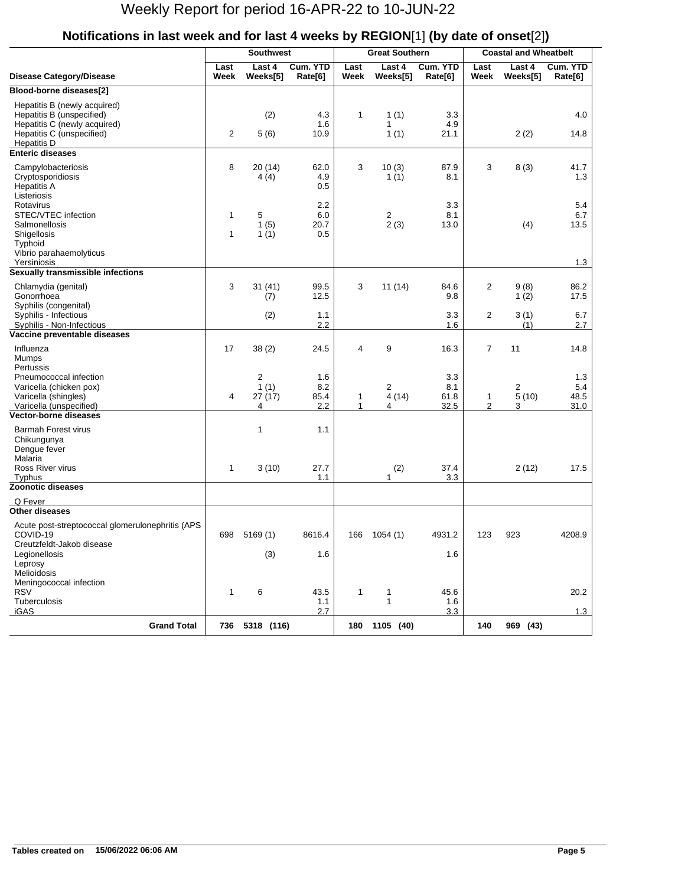|                                                                                                                                              |                              | <b>Southwest</b>                      |                           |              | <b>Great Southern</b> |                            | <b>Coastal and Wheatbelt</b>   |                    |                            |  |
|----------------------------------------------------------------------------------------------------------------------------------------------|------------------------------|---------------------------------------|---------------------------|--------------|-----------------------|----------------------------|--------------------------------|--------------------|----------------------------|--|
| <b>Disease Category/Disease</b>                                                                                                              | Last<br>Week                 | Last 4<br>Weeks[5]                    | Cum. YTD<br>Rate[6]       | Last<br>Week | Last 4<br>Weeks[5]    | Cum. YTD<br>Rate[6]        | Last<br>Week                   | Last 4<br>Weeks[5] | Cum. YTD<br>Rate[6]        |  |
| Blood-borne diseases[2]                                                                                                                      |                              |                                       |                           |              |                       |                            |                                |                    |                            |  |
| Hepatitis B (newly acquired)<br>Hepatitis B (unspecified)<br>Hepatitis C (newly acquired)<br>Hepatitis C (unspecified)<br><b>Hepatitis D</b> | $\overline{c}$               | (2)<br>5(6)                           | 4.3<br>1.6<br>10.9        | 1            | 1(1)<br>1<br>1(1)     | 3.3<br>4.9<br>21.1         |                                | 2(2)               | 4.0<br>14.8                |  |
| <b>Enteric diseases</b>                                                                                                                      |                              |                                       |                           |              |                       |                            |                                |                    |                            |  |
| Campylobacteriosis<br>Cryptosporidiosis<br><b>Hepatitis A</b><br>Listeriosis                                                                 | 8                            | 20 (14)<br>4(4)                       | 62.0<br>4.9<br>0.5        | 3            | 10(3)<br>1(1)         | 87.9<br>8.1                | 3                              | 8(3)               | 41.7<br>1.3                |  |
| Rotavirus<br>STEC/VTEC infection<br><b>Salmonellosis</b><br>Shigellosis<br>Typhoid<br>Vibrio parahaemolyticus                                | $\mathbf{1}$<br>$\mathbf{1}$ | 5<br>1(5)<br>1(1)                     | 2.2<br>6.0<br>20.7<br>0.5 |              | 2<br>2(3)             | 3.3<br>8.1<br>13.0         |                                | (4)                | 5.4<br>6.7<br>13.5         |  |
| Yersiniosis                                                                                                                                  |                              |                                       |                           |              |                       |                            |                                |                    | 1.3                        |  |
| Sexually transmissible infections                                                                                                            |                              |                                       |                           |              |                       |                            |                                |                    |                            |  |
| Chlamydia (genital)<br>Gonorrhoea<br>Syphilis (congenital)                                                                                   | 3                            | 31(41)<br>(7)                         | 99.5<br>12.5              | 3            | 11(14)                | 84.6<br>9.8                | 2                              | 9(8)<br>1(2)       | 86.2<br>17.5               |  |
| Syphilis - Infectious<br>Syphilis - Non-Infectious                                                                                           |                              | (2)                                   | 1.1<br>2.2                |              |                       | 3.3<br>1.6                 | $\overline{2}$                 | 3(1)<br>(1)        | 6.7<br>2.7                 |  |
| Vaccine preventable diseases<br>Influenza<br>Mumps                                                                                           | 17                           | 38(2)                                 | 24.5                      | 4            | 9                     | 16.3                       | 7                              | 11                 | 14.8                       |  |
| Pertussis<br>Pneumococcal infection<br>Varicella (chicken pox)<br>Varicella (shingles)<br>Varicella (unspecified)                            | 4                            | $\overline{2}$<br>1(1)<br>27(17)<br>4 | 1.6<br>8.2<br>85.4<br>2.2 | 1<br>1       | 2<br>4(14)<br>4       | 3.3<br>8.1<br>61.8<br>32.5 | $\mathbf{1}$<br>$\overline{2}$ | 2<br>5(10)<br>3    | 1.3<br>5.4<br>48.5<br>31.0 |  |
| <b>Vector-borne diseases</b>                                                                                                                 |                              |                                       |                           |              |                       |                            |                                |                    |                            |  |
| <b>Barmah Forest virus</b><br>Chikungunya<br>Dengue fever<br>Malaria                                                                         |                              | 1                                     | 1.1                       |              |                       |                            |                                |                    |                            |  |
| Ross River virus<br>Typhus                                                                                                                   | $\mathbf{1}$                 | 3(10)                                 | 27.7<br>1.1               |              | (2)<br>1              | 37.4<br>3.3                |                                | 2(12)              | 17.5                       |  |
| <b>Zoonotic diseases</b>                                                                                                                     |                              |                                       |                           |              |                       |                            |                                |                    |                            |  |
| Q Fever                                                                                                                                      |                              |                                       |                           |              |                       |                            |                                |                    |                            |  |
| <b>Other diseases</b>                                                                                                                        |                              |                                       |                           |              |                       |                            |                                |                    |                            |  |
| Acute post-streptococcal glomerulonephritis (APS<br>COVID-19<br>Creutzfeldt-Jakob disease                                                    | 698                          | 5169(1)                               | 8616.4                    | 166          | 1054(1)               | 4931.2                     | 123                            | 923                | 4208.9                     |  |
| Legionellosis<br>Leprosy<br>Melioidosis                                                                                                      |                              | (3)                                   | 1.6                       |              |                       | 1.6                        |                                |                    |                            |  |
| Meningococcal infection<br><b>RSV</b><br>Tuberculosis                                                                                        | $\mathbf{1}$                 | 6                                     | 43.5<br>1.1               | 1            | 1<br>$\mathbf{1}$     | 45.6<br>1.6                |                                |                    | 20.2                       |  |
| iGAS                                                                                                                                         |                              |                                       | 2.7                       |              |                       | 3.3                        |                                |                    | 1.3                        |  |
| <b>Grand Total</b>                                                                                                                           |                              | 736 5318 (116)                        |                           |              | 180 1105 (40)         |                            | 140                            | 969 (43)           |                            |  |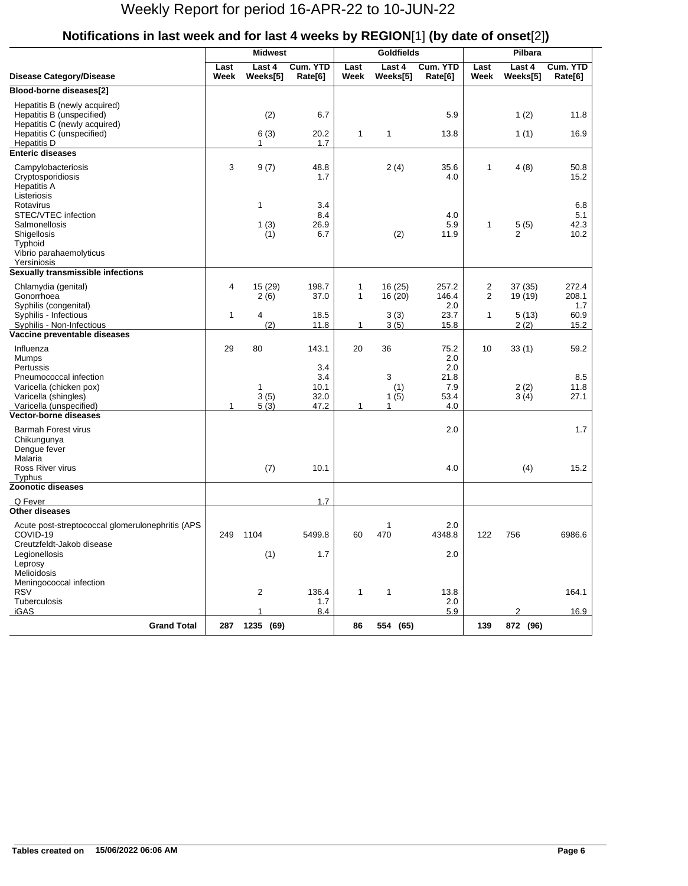|                                                                                           |              | <b>Midwest</b>     |                           |                              | <b>Goldfields</b>  |                       | Pilbara             |                        |                            |  |
|-------------------------------------------------------------------------------------------|--------------|--------------------|---------------------------|------------------------------|--------------------|-----------------------|---------------------|------------------------|----------------------------|--|
| <b>Disease Category/Disease</b>                                                           | Last<br>Week | Last 4<br>Weeks[5] | Cum. YTD<br>Rate[6]       | Last<br>Week                 | Last 4<br>Weeks[5] | Cum. YTD<br>Rate[6]   | Last<br>Week        | Last 4<br>Weeks[5]     | Cum. YTD<br>Rate[6]        |  |
| Blood-borne diseases[2]                                                                   |              |                    |                           |                              |                    |                       |                     |                        |                            |  |
| Hepatitis B (newly acquired)<br>Hepatitis B (unspecified)<br>Hepatitis C (newly acquired) |              | (2)                | 6.7                       |                              |                    | 5.9                   |                     | 1(2)                   | 11.8                       |  |
| Hepatitis C (unspecified)<br><b>Hepatitis D</b>                                           |              | 6(3)<br>1          | 20.2<br>1.7               | 1                            | 1                  | 13.8                  |                     | 1(1)                   | 16.9                       |  |
| <b>Enteric diseases</b>                                                                   |              |                    |                           |                              |                    |                       |                     |                        |                            |  |
| Campylobacteriosis<br>Cryptosporidiosis<br><b>Hepatitis A</b><br>Listeriosis              | 3            | 9(7)               | 48.8<br>1.7               |                              | 2(4)               | 35.6<br>4.0           | 1                   | 4(8)                   | 50.8<br>15.2               |  |
| Rotavirus<br>STEC/VTEC infection<br><b>Salmonellosis</b><br>Shigellosis<br>Typhoid        |              | 1<br>1(3)<br>(1)   | 3.4<br>8.4<br>26.9<br>6.7 |                              | (2)                | 4.0<br>5.9<br>11.9    | 1                   | 5(5)<br>$\overline{2}$ | 6.8<br>5.1<br>42.3<br>10.2 |  |
| Vibrio parahaemolyticus<br>Yersiniosis                                                    |              |                    |                           |                              |                    |                       |                     |                        |                            |  |
| Sexually transmissible infections                                                         |              |                    |                           |                              |                    |                       |                     |                        |                            |  |
| Chlamydia (genital)<br>Gonorrhoea<br>Syphilis (congenital)                                | 4            | 15 (29)<br>2(6)    | 198.7<br>37.0             | $\mathbf{1}$<br>$\mathbf{1}$ | 16(25)<br>16 (20)  | 257.2<br>146.4<br>2.0 | 2<br>$\overline{2}$ | 37 (35)<br>19 (19)     | 272.4<br>208.1<br>1.7      |  |
| Syphilis - Infectious<br>Syphilis - Non-Infectious                                        | 1            | 4<br>(2)           | 18.5<br>11.8              | 1                            | 3(3)<br>3(5)       | 23.7<br>15.8          | 1                   | 5(13)<br>2(2)          | 60.9<br>15.2               |  |
| Vaccine preventable diseases                                                              |              |                    |                           |                              |                    |                       |                     |                        |                            |  |
| Influenza<br>Mumps<br>Pertussis                                                           | 29           | 80                 | 143.1<br>3.4              | 20                           | 36                 | 75.2<br>2.0<br>2.0    | 10                  | 33(1)                  | 59.2                       |  |
| Pneumococcal infection<br>Varicella (chicken pox)<br>Varicella (shingles)                 |              | 1<br>3(5)          | 3.4<br>10.1<br>32.0       |                              | 3<br>(1)<br>1(5)   | 21.8<br>7.9<br>53.4   |                     | 2(2)<br>3(4)           | 8.5<br>11.8<br>27.1        |  |
| Varicella (unspecified)<br><b>Vector-borne diseases</b>                                   | 1            | 5(3)               | 47.2                      | 1                            | $\mathbf{1}$       | 4.0                   |                     |                        |                            |  |
| <b>Barmah Forest virus</b><br>Chikungunya<br>Dengue fever                                 |              |                    |                           |                              |                    | 2.0                   |                     |                        | 1.7                        |  |
| Malaria<br>Ross River virus<br>Typhus                                                     |              | (7)                | 10.1                      |                              |                    | 4.0                   |                     | (4)                    | 15.2                       |  |
| <b>Zoonotic diseases</b>                                                                  |              |                    |                           |                              |                    |                       |                     |                        |                            |  |
| Q Fever                                                                                   |              |                    | 1.7                       |                              |                    |                       |                     |                        |                            |  |
| <b>Other diseases</b>                                                                     |              |                    |                           |                              |                    |                       |                     |                        |                            |  |
| Acute post-streptococcal glomerulonephritis (APS<br>COVID-19<br>Creutzfeldt-Jakob disease | 249          | 1104               | 5499.8                    | 60                           | 1<br>470           | 2.0<br>4348.8         | 122                 | 756                    | 6986.6                     |  |
| Legionellosis<br>Leprosy<br>Melioidosis                                                   |              | (1)                | 1.7                       |                              |                    | 2.0                   |                     |                        |                            |  |
| Meningococcal infection<br><b>RSV</b><br><b>Tuberculosis</b>                              |              | 2                  | 136.4<br>1.7              | 1                            | 1                  | 13.8<br>2.0           |                     |                        | 164.1                      |  |
| iGAS                                                                                      |              | $\mathbf{1}$       | 8.4                       |                              |                    | 5.9                   |                     | 2                      | 16.9                       |  |
| <b>Grand Total</b>                                                                        |              | 287 1235 (69)      |                           | 86                           | 554 (65)           |                       | 139                 | 872 (96)               |                            |  |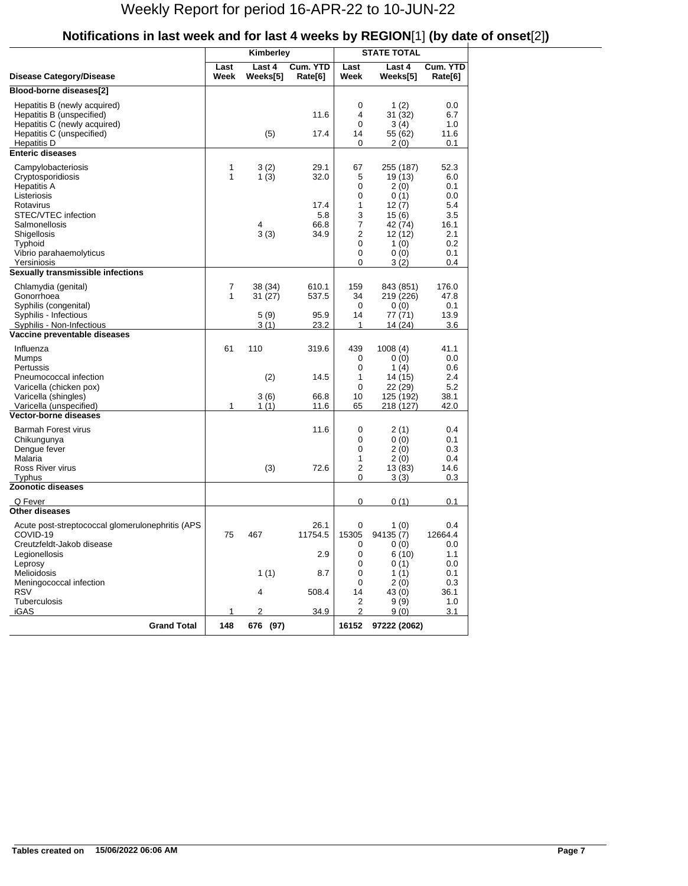|                                                                                                                                       |              | Kimberley                 |                             | <b>STATE TOTAL</b>          |                                                        |                                         |
|---------------------------------------------------------------------------------------------------------------------------------------|--------------|---------------------------|-----------------------------|-----------------------------|--------------------------------------------------------|-----------------------------------------|
| Disease Category/Disease                                                                                                              | Last<br>Week | Last 4<br>Weeks[5]        | Cum. YTD<br>Rate[6]         | Last<br>Week                | Last 4<br>Weeks[5]                                     | Cum. YTD<br>Rate[6]                     |
| Blood-borne diseases[2]                                                                                                               |              |                           |                             |                             |                                                        |                                         |
| Hepatitis B (newly acquired)<br>Hepatitis B (unspecified)<br>Hepatitis C (newly acquired)<br>Hepatitis C (unspecified)<br>Hepatitis D |              | (5)                       | 11.6<br>17.4                | 0<br>4<br>0<br>14<br>0      | 1 $(2)$<br>31 (32)<br>3(4)<br>55 (62)<br>2(0)          | 0.0<br>6.7<br>1.0<br>11.6<br>0.1        |
| <b>Enteric diseases</b>                                                                                                               |              |                           |                             |                             |                                                        |                                         |
| Campylobacteriosis<br>Cryptosporidiosis<br><b>Hepatitis A</b><br>Listeriosis<br>Rotavirus<br>STEC/VTEC infection                      | 1<br>1       | 3(2)<br>1(3)              | 29.1<br>32.0<br>17.4<br>5.8 | 67<br>5<br>0<br>0<br>1<br>3 | 255 (187)<br>19 (13)<br>2(0)<br>0(1)<br>12(7)<br>15(6) | 52.3<br>6.0<br>0.1<br>0.0<br>5.4<br>3.5 |
| Salmonellosis<br>Shigellosis<br>Typhoid<br>Vibrio parahaemolyticus<br>Yersiniosis                                                     |              | 4<br>3(3)                 | 66.8<br>34.9                | 7<br>2<br>0<br>0<br>0       | 42 (74)<br>12 (12)<br>1(0)<br>0(0)<br>3(2)             | 16.1<br>2.1<br>0.2<br>0.1<br>0.4        |
| Sexually transmissible infections                                                                                                     |              |                           |                             |                             |                                                        |                                         |
| Chlamydia (genital)<br>Gonorrhoea<br>Syphilis (congenital)<br>Syphilis - Infectious                                                   | 7<br>1       | 38 (34)<br>31(27)<br>5(9) | 610.1<br>537.5<br>95.9      | 159<br>34<br>0<br>14        | 843 (851)<br>219 (226)<br>0(0)<br>77 (71)              | 176.0<br>47.8<br>0.1<br>13.9            |
| Syphilis - Non-Infectious                                                                                                             |              | 3(1)                      | 23.2                        | 1                           | 14 (24)                                                | 3.6                                     |
| Vaccine preventable diseases                                                                                                          |              |                           |                             |                             |                                                        |                                         |
| Influenza<br>Mumps<br>Pertussis<br>Pneumococcal infection                                                                             | 61           | 110<br>(2)                | 319.6<br>14.5               | 439<br>0<br>0<br>1          | 1008(4)<br>0(0)<br>1 $(4)$<br>14 (15)                  | 41.1<br>0.0<br>0.6<br>2.4               |
| Varicella (chicken pox)<br>Varicella (shingles)<br>Varicella (unspecified)                                                            | 1            | 3(6)<br>1(1)              | 66.8<br>11.6                | 0<br>10<br>65               | 22 (29)<br>125 (192)<br>218 (127)                      | $5.2\,$<br>38.1<br>42.0                 |
| <b>Vector-borne diseases</b>                                                                                                          |              |                           |                             |                             |                                                        |                                         |
| <b>Barmah Forest virus</b><br>Chikungunya<br>Dengue fever<br>Malaria                                                                  |              |                           | 11.6                        | 0<br>0<br>0<br>1            | 2(1)<br>0(0)<br>2(0)<br>2(0)                           | 0.4<br>0.1<br>0.3<br>0.4                |
| Ross River virus                                                                                                                      |              | (3)                       | 72.6                        | $\overline{2}$              | 13 (83)                                                | 14.6                                    |
| Typhus<br><b>Zoonotic diseases</b>                                                                                                    |              |                           |                             | 0                           | 3(3)                                                   | 0.3                                     |
|                                                                                                                                       |              |                           |                             |                             |                                                        |                                         |
| Q Fever<br><b>Other diseases</b>                                                                                                      |              |                           |                             | 0                           | 0(1)                                                   | 0.1                                     |
| Acute post-streptococcal glomerulonephritis (APS<br>COVID-19<br>Creutzfeldt-Jakob disease                                             | 75           | 467                       | 26.1<br>11754.5             | $\pmb{0}$<br>15305<br>0     | 1(0)<br>94135 (7)<br>0(0)                              | 0.4<br>12664.4<br>0.0                   |
| Legionellosis<br>Leprosy                                                                                                              |              |                           | 2.9                         | 0<br>0                      | 6(10)<br>0(1)                                          | 1.1<br>0.0                              |
| Melioidosis                                                                                                                           |              | 1(1)                      | 8.7                         | 0                           | 1(1)                                                   | 0.1                                     |
| Meningococcal infection<br><b>RSV</b>                                                                                                 |              | 4                         | 508.4                       | 0<br>14                     | 2(0)<br>43 (0)                                         | 0.3<br>36.1                             |
| Tuberculosis<br><b>iGAS</b>                                                                                                           | 1            | 2                         | 34.9                        | 2<br>2                      | 9(9)<br>9(0)                                           | 1.0<br>3.1                              |
| <b>Grand Total</b>                                                                                                                    | 148          | 676 (97)                  |                             | 16152                       | 97222 (2062)                                           |                                         |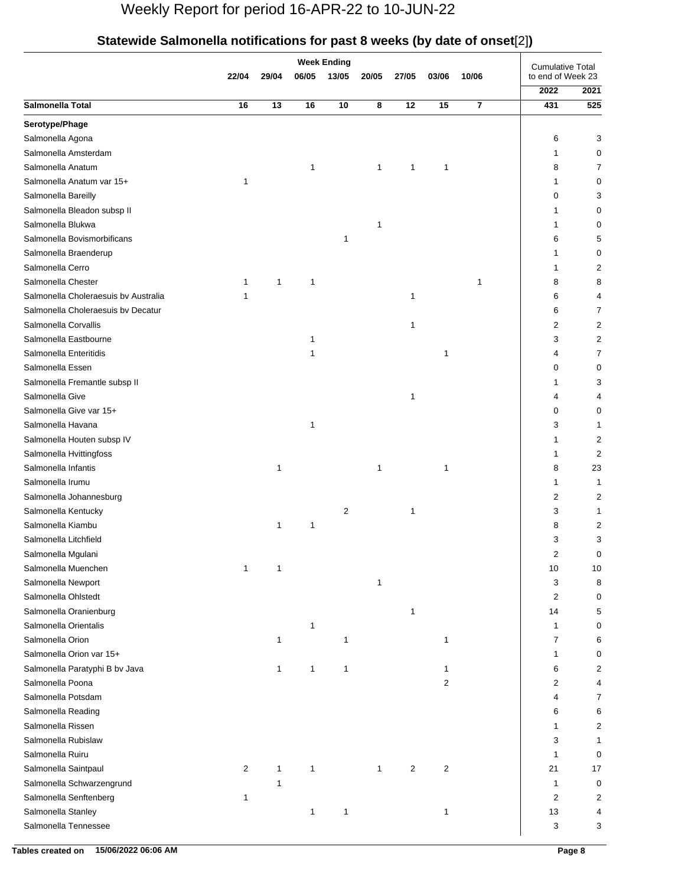|                                            | 22/04 | 29/04        | 06/05        | <b>Week Ending</b><br>13/05 | 20/05        | 27/05 | 03/06           | 10/06 | <b>Cumulative Total</b><br>to end of Week 23 |        |
|--------------------------------------------|-------|--------------|--------------|-----------------------------|--------------|-------|-----------------|-------|----------------------------------------------|--------|
|                                            |       |              |              |                             |              |       |                 |       | 2022                                         | 2021   |
| Salmonella Total                           | 16    | 13           | 16           | 10                          | 8            | 12    | $\overline{15}$ |       | 431                                          | 525    |
| Serotype/Phage                             |       |              |              |                             |              |       |                 |       |                                              |        |
| Salmonella Agona                           |       |              |              |                             |              |       |                 |       | 6                                            | 3      |
| Salmonella Amsterdam                       |       |              |              |                             |              |       |                 |       | 1                                            | 0      |
| Salmonella Anatum                          |       |              | 1            |                             | 1            | 1     | 1               |       | 8                                            | 7      |
| Salmonella Anatum var 15+                  | 1     |              |              |                             |              |       |                 |       | 1                                            | 0      |
| Salmonella Bareilly                        |       |              |              |                             |              |       |                 |       | 0                                            | 3      |
| Salmonella Bleadon subsp II                |       |              |              |                             |              |       |                 |       | 1                                            | 0      |
| Salmonella Blukwa                          |       |              |              |                             | 1            |       |                 |       |                                              | 0      |
| Salmonella Bovismorbificans                |       |              |              | 1                           |              |       |                 |       | 6                                            | 5      |
| Salmonella Braenderup                      |       |              |              |                             |              |       |                 |       | 1                                            | 0      |
| Salmonella Cerro                           |       |              |              |                             |              |       |                 |       | 1                                            | 2      |
| Salmonella Chester                         | 1     | 1            | 1            |                             |              |       |                 | 1     | 8                                            | 8      |
| Salmonella Choleraesuis by Australia       | 1     |              |              |                             |              | 1     |                 |       | 6                                            | 4      |
| Salmonella Choleraesuis by Decatur         |       |              |              |                             |              |       |                 |       | 6                                            | 7      |
| Salmonella Corvallis                       |       |              |              |                             |              | 1     |                 |       | 2                                            | 2      |
| Salmonella Eastbourne                      |       |              | 1            |                             |              |       |                 |       | 3                                            | 2      |
| Salmonella Enteritidis                     |       |              | 1            |                             |              |       | 1               |       | 4                                            | 7      |
| Salmonella Essen                           |       |              |              |                             |              |       |                 |       | 0                                            | 0      |
| Salmonella Fremantle subsp II              |       |              |              |                             |              |       |                 |       |                                              | 3      |
| Salmonella Give                            |       |              |              |                             |              | 1     |                 |       | 4                                            | 4      |
| Salmonella Give var 15+                    |       |              |              |                             |              |       |                 |       | 0                                            | 0      |
| Salmonella Havana                          |       |              | 1            |                             |              |       |                 |       | 3                                            | 1      |
| Salmonella Houten subsp IV                 |       |              |              |                             |              |       |                 |       | 1                                            | 2      |
| Salmonella Hvittingfoss                    |       |              |              |                             |              |       |                 |       | 1                                            | 2      |
| Salmonella Infantis                        |       | 1            |              |                             | 1            |       | 1               |       | 8                                            | 23     |
| Salmonella Irumu                           |       |              |              |                             |              |       |                 |       | 1                                            | 1      |
| Salmonella Johannesburg                    |       |              |              |                             |              |       |                 |       | 2                                            | 2      |
| Salmonella Kentucky                        |       |              |              | $\overline{2}$              |              | 1     |                 |       | 3                                            | 1      |
| Salmonella Kiambu                          |       | 1            | 1            |                             |              |       |                 |       | 8                                            | 2      |
| Salmonella Litchfield                      |       |              |              |                             |              |       |                 |       | 3                                            | 3      |
| Salmonella Mgulani                         |       |              |              |                             |              |       |                 |       | 2                                            | 0      |
| Salmonella Muenchen                        | 1     | $\mathbf{1}$ |              |                             |              |       |                 |       | 10                                           | 10     |
| Salmonella Newport                         |       |              |              |                             | $\mathbf{1}$ |       |                 |       | 3                                            | 8      |
| Salmonella Ohlstedt                        |       |              |              |                             |              |       |                 |       | 2                                            | 0      |
| Salmonella Oranienburg                     |       |              |              |                             |              | 1     |                 |       | 14                                           | 5      |
| Salmonella Orientalis                      |       |              | 1            |                             |              |       |                 |       | 1                                            | 0      |
| Salmonella Orion                           |       | $\mathbf{1}$ |              | 1                           |              |       | 1               |       | 7                                            | 6      |
| Salmonella Orion var 15+                   |       |              |              |                             |              |       |                 |       | 1                                            | 0      |
| Salmonella Paratyphi B bv Java             |       | 1            | $\mathbf{1}$ | 1                           |              |       | 1               |       | 6                                            | 2      |
| Salmonella Poona                           |       |              |              |                             |              |       | 2               |       | 2                                            | 4      |
| Salmonella Potsdam                         |       |              |              |                             |              |       |                 |       | 4                                            | 7      |
| Salmonella Reading                         |       |              |              |                             |              |       |                 |       | 6                                            | 6      |
| Salmonella Rissen                          |       |              |              |                             |              |       |                 |       | 1                                            | 2      |
| Salmonella Rubislaw                        |       |              |              |                             |              |       |                 |       | 3                                            | 1      |
| Salmonella Ruiru                           |       |              |              |                             |              |       |                 |       |                                              | 0      |
| Salmonella Saintpaul                       | 2     | 1            | 1            |                             | 1            | 2     | 2               |       | 1<br>21                                      | 17     |
|                                            |       | 1            |              |                             |              |       |                 |       | 1                                            |        |
| Salmonella Schwarzengrund                  |       |              |              |                             |              |       |                 |       | 2                                            | 0<br>2 |
| Salmonella Senftenberg                     | 1     |              |              |                             |              |       |                 |       |                                              | 4      |
| Salmonella Stanley<br>Salmonella Tennessee |       |              | 1            | 1                           |              |       | 1               |       | 13                                           |        |
|                                            |       |              |              |                             |              |       |                 |       | 3                                            | 3      |